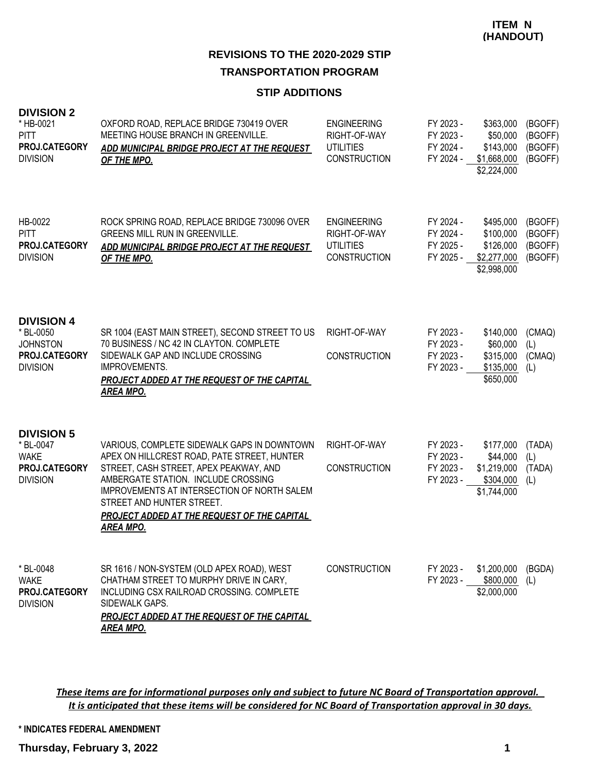#### **STIP ADDITIONS**

#### **DIVISION 2**

| * HB-0021<br><b>PITT</b><br>PROJ.CATEGORY<br><b>DIVISION</b>                          | OXFORD ROAD, REPLACE BRIDGE 730419 OVER<br>MEETING HOUSE BRANCH IN GREENVILLE.<br>ADD MUNICIPAL BRIDGE PROJECT AT THE REQUEST<br>OF THE MPO.                                                                                                                                                                               | <b>ENGINEERING</b><br>RIGHT-OF-WAY<br><b>UTILITIES</b><br><b>CONSTRUCTION</b> | FY 2023 -<br>FY 2023 -<br>FY 2024 -<br>FY 2024 - | \$363,000<br>\$50,000<br>\$143,000<br>\$1,668,000<br>\$2,224,000        | (BGOFF)<br>(BGOFF)<br>(BGOFF)<br>(BGOFF) |
|---------------------------------------------------------------------------------------|----------------------------------------------------------------------------------------------------------------------------------------------------------------------------------------------------------------------------------------------------------------------------------------------------------------------------|-------------------------------------------------------------------------------|--------------------------------------------------|-------------------------------------------------------------------------|------------------------------------------|
| HB-0022<br><b>PITT</b><br>PROJ.CATEGORY<br><b>DIVISION</b>                            | ROCK SPRING ROAD, REPLACE BRIDGE 730096 OVER<br>GREENS MILL RUN IN GREENVILLE.<br>ADD MUNICIPAL BRIDGE PROJECT AT THE REQUEST<br>OF THE MPO.                                                                                                                                                                               | <b>ENGINEERING</b><br>RIGHT-OF-WAY<br><b>UTILITIES</b><br><b>CONSTRUCTION</b> | FY 2024 -<br>FY 2024 -<br>FY 2025 -<br>FY 2025 - | \$495,000<br>\$100,000<br>\$126,000<br>\$2,277,000<br>\$2,998,000       | (BGOFF)<br>(BGOFF)<br>(BGOFF)<br>(BGOFF) |
| <b>DIVISION 4</b><br>* BL-0050<br><b>JOHNSTON</b><br>PROJ.CATEGORY<br><b>DIVISION</b> | SR 1004 (EAST MAIN STREET), SECOND STREET TO US<br>70 BUSINESS / NC 42 IN CLAYTON. COMPLETE<br>SIDEWALK GAP AND INCLUDE CROSSING<br><b>IMPROVEMENTS.</b><br><b>PROJECT ADDED AT THE REQUEST OF THE CAPITAL</b><br><b>AREA MPO.</b>                                                                                         | RIGHT-OF-WAY<br><b>CONSTRUCTION</b>                                           | FY 2023 -<br>FY 2023 -<br>FY 2023 -<br>FY 2023 - | \$140,000<br>\$60,000<br>\$315,000<br>\$135,000<br>\$650,000            | (CMAQ)<br>(L)<br>(CMAQ)<br>(L)           |
| <b>DIVISION 5</b><br>* BL-0047<br><b>WAKE</b><br>PROJ.CATEGORY<br><b>DIVISION</b>     | VARIOUS, COMPLETE SIDEWALK GAPS IN DOWNTOWN<br>APEX ON HILLCREST ROAD, PATE STREET, HUNTER<br>STREET, CASH STREET, APEX PEAKWAY, AND<br>AMBERGATE STATION. INCLUDE CROSSING<br>IMPROVEMENTS AT INTERSECTION OF NORTH SALEM<br>STREET AND HUNTER STREET.<br>PROJECT ADDED AT THE REQUEST OF THE CAPITAL<br><u>AREA MPO.</u> | RIGHT-OF-WAY<br><b>CONSTRUCTION</b>                                           | FY 2023 -<br>FY 2023 -<br>FY 2023 -<br>FY 2023 - | \$177,000<br>\$44,000<br>\$1,219,000 (TADA)<br>\$304,000<br>\$1,744,000 | (TADA)<br>(L)<br>(L)                     |
| * BL-0048<br><b>WAKE</b><br>PROJ.CATEGORY<br><b>DIVISION</b>                          | SR 1616 / NON-SYSTEM (OLD APEX ROAD), WEST<br>CHATHAM STREET TO MURPHY DRIVE IN CARY,<br>INCLUDING CSX RAILROAD CROSSING. COMPLETE<br>SIDEWALK GAPS.<br><b>PROJECT ADDED AT THE REQUEST OF THE CAPITAL</b><br><b>AREA MPO.</b>                                                                                             | <b>CONSTRUCTION</b>                                                           | FY 2023 -<br>FY 2023 -                           | \$1,200,000<br>\$800,000<br>\$2,000,000                                 | (BGDA)<br>(L)                            |

*These items are for informational purposes only and subject to future NC Board of Transportation approval. It is anticipated that these items will be considered for NC Board of Transportation approval in 30 days.*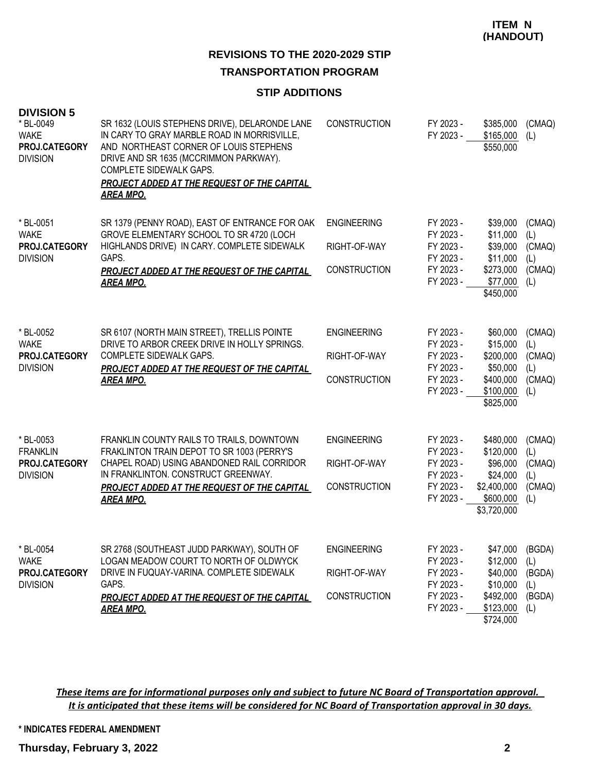## **REVISIONS TO THE 2020-2029 STIP**

#### **TRANSPORTATION PROGRAM**

#### **STIP ADDITIONS**

| <b>DIVISION 5</b><br>* BL-0049<br><b>WAKE</b><br>PROJ.CATEGORY<br><b>DIVISION</b> | SR 1632 (LOUIS STEPHENS DRIVE), DELARONDE LANE<br>IN CARY TO GRAY MARBLE ROAD IN MORRISVILLE,<br>AND NORTHEAST CORNER OF LOUIS STEPHENS<br>DRIVE AND SR 1635 (MCCRIMMON PARKWAY).<br>COMPLETE SIDEWALK GAPS.<br><b>PROJECT ADDED AT THE REQUEST OF THE CAPITAL</b><br><b>AREA MPO.</b> | <b>CONSTRUCTION</b>                                       | FY 2023 -<br>FY 2023 -                                                     | \$385,000<br>\$165,000<br>\$550,000                                                       | (CMAQ)<br>(L)                                   |
|-----------------------------------------------------------------------------------|----------------------------------------------------------------------------------------------------------------------------------------------------------------------------------------------------------------------------------------------------------------------------------------|-----------------------------------------------------------|----------------------------------------------------------------------------|-------------------------------------------------------------------------------------------|-------------------------------------------------|
| * BL-0051<br><b>WAKE</b><br>PROJ.CATEGORY<br><b>DIVISION</b>                      | SR 1379 (PENNY ROAD), EAST OF ENTRANCE FOR OAK<br>GROVE ELEMENTARY SCHOOL TO SR 4720 (LOCH<br>HIGHLANDS DRIVE) IN CARY. COMPLETE SIDEWALK<br>GAPS.<br><b>PROJECT ADDED AT THE REQUEST OF THE CAPITAL</b><br><b>AREA MPO.</b>                                                           | <b>ENGINEERING</b><br>RIGHT-OF-WAY<br><b>CONSTRUCTION</b> | FY 2023 -<br>FY 2023 -<br>FY 2023 -<br>FY 2023 -<br>FY 2023 -<br>FY 2023 - | \$39,000<br>\$11,000<br>\$39,000<br>\$11,000<br>\$273,000<br>\$77,000<br>\$450,000        | (CMAQ)<br>(L)<br>(CMAQ)<br>(L)<br>(CMAQ)<br>(L) |
| * BL-0052<br><b>WAKE</b><br>PROJ.CATEGORY<br><b>DIVISION</b>                      | SR 6107 (NORTH MAIN STREET), TRELLIS POINTE<br>DRIVE TO ARBOR CREEK DRIVE IN HOLLY SPRINGS.<br><b>COMPLETE SIDEWALK GAPS.</b><br>PROJECT ADDED AT THE REQUEST OF THE CAPITAL<br><b>AREA MPO.</b>                                                                                       | <b>ENGINEERING</b><br>RIGHT-OF-WAY<br><b>CONSTRUCTION</b> | FY 2023 -<br>FY 2023 -<br>FY 2023 -<br>FY 2023 -<br>FY 2023 -<br>FY 2023 - | \$60,000<br>\$15,000<br>\$200,000<br>\$50,000<br>\$400,000<br>\$100,000<br>\$825,000      | (CMAQ)<br>(L)<br>(CMAQ)<br>(L)<br>(CMAQ)<br>(L) |
| * BL-0053<br><b>FRANKLIN</b><br>PROJ.CATEGORY<br><b>DIVISION</b>                  | FRANKLIN COUNTY RAILS TO TRAILS, DOWNTOWN<br>FRAKLINTON TRAIN DEPOT TO SR 1003 (PERRY'S<br>CHAPEL ROAD) USING ABANDONED RAIL CORRIDOR<br>IN FRANKLINTON. CONSTRUCT GREENWAY.<br>PROJECT ADDED AT THE REQUEST OF THE CAPITAL<br><b>AREA MPO.</b>                                        | <b>ENGINEERING</b><br>RIGHT-OF-WAY<br><b>CONSTRUCTION</b> | FY 2023 -<br>FY 2023 -<br>FY 2023 -<br>FY 2023 -<br>FY 2023 -<br>FY 2023 - | \$480,000<br>\$120,000<br>\$96,000<br>\$24,000<br>\$2,400,000<br>\$600,000<br>\$3,720,000 | (CMAQ)<br>(L)<br>(CMAQ)<br>(L)<br>(CMAQ)<br>(L) |
| * BL-0054<br><b>WAKE</b><br>PROJ.CATEGORY<br><b>DIVISION</b>                      | SR 2768 (SOUTHEAST JUDD PARKWAY), SOUTH OF<br>LOGAN MEADOW COURT TO NORTH OF OLDWYCK<br>DRIVE IN FUQUAY-VARINA. COMPLETE SIDEWALK<br>GAPS.<br><b>PROJECT ADDED AT THE REQUEST OF THE CAPITAL</b><br><b>AREA MPO.</b>                                                                   | <b>ENGINEERING</b><br>RIGHT-OF-WAY<br><b>CONSTRUCTION</b> | FY 2023 -<br>FY 2023 -<br>FY 2023 -<br>FY 2023 -<br>FY 2023 -<br>FY 2023 - | \$47,000<br>\$12,000<br>\$40,000<br>\$10,000<br>\$492,000<br>\$123,000<br>\$724,000       | (BGDA)<br>(L)<br>(BGDA)<br>(L)<br>(BGDA)<br>(L) |

*These items are for informational purposes only and subject to future NC Board of Transportation approval. It is anticipated that these items will be considered for NC Board of Transportation approval in 30 days.*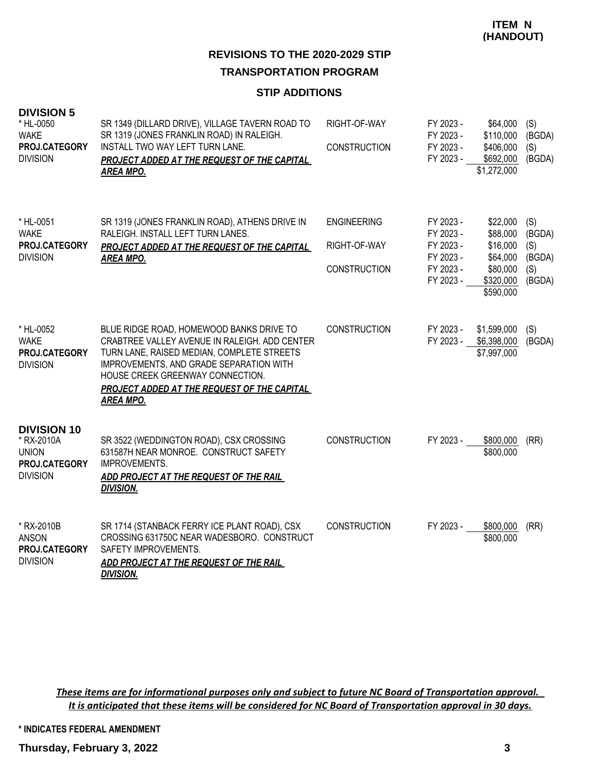#### **STIP ADDITIONS**

| <b>DIVISION 5</b><br>* HL-0050<br><b>WAKE</b><br>PROJ.CATEGORY<br><b>DIVISION</b>    | SR 1349 (DILLARD DRIVE), VILLAGE TAVERN ROAD TO<br>SR 1319 (JONES FRANKLIN ROAD) IN RALEIGH.<br>INSTALL TWO WAY LEFT TURN LANE.<br>PROJECT ADDED AT THE REQUEST OF THE CAPITAL<br><b>AREA MPO.</b>                                                                                        | RIGHT-OF-WAY<br><b>CONSTRUCTION</b>                       | FY 2023 -<br>FY 2023 -<br>FY 2023 -<br>FY 2023 -                           | \$64,000<br>\$110,000<br>\$406,000<br>\$692,000<br>\$1,272,000                     | (S)<br>(BGDA)<br>(S)<br>(BGDA)                  |
|--------------------------------------------------------------------------------------|-------------------------------------------------------------------------------------------------------------------------------------------------------------------------------------------------------------------------------------------------------------------------------------------|-----------------------------------------------------------|----------------------------------------------------------------------------|------------------------------------------------------------------------------------|-------------------------------------------------|
| * HL-0051<br><b>WAKE</b><br>PROJ.CATEGORY<br><b>DIVISION</b>                         | SR 1319 (JONES FRANKLIN ROAD), ATHENS DRIVE IN<br>RALEIGH. INSTALL LEFT TURN LANES.<br><b>PROJECT ADDED AT THE REQUEST OF THE CAPITAL</b><br><b>AREA MPO.</b>                                                                                                                             | <b>ENGINEERING</b><br>RIGHT-OF-WAY<br><b>CONSTRUCTION</b> | FY 2023 -<br>FY 2023 -<br>FY 2023 -<br>FY 2023 -<br>FY 2023 -<br>FY 2023 - | \$22,000<br>\$88,000<br>\$16,000<br>\$64,000<br>\$80,000<br>\$320,000<br>\$590,000 | (S)<br>(BGDA)<br>(S)<br>(BGDA)<br>(S)<br>(BGDA) |
| * HL-0052<br><b>WAKE</b><br>PROJ.CATEGORY<br><b>DIVISION</b>                         | BLUE RIDGE ROAD, HOMEWOOD BANKS DRIVE TO<br>CRABTREE VALLEY AVENUE IN RALEIGH. ADD CENTER<br>TURN LANE, RAISED MEDIAN, COMPLETE STREETS<br>IMPROVEMENTS, AND GRADE SEPARATION WITH<br>HOUSE CREEK GREENWAY CONNECTION.<br>PROJECT ADDED AT THE REQUEST OF THE CAPITAL<br><b>AREA MPO.</b> | <b>CONSTRUCTION</b>                                       | FY 2023 -<br>FY 2023 -                                                     | \$1,599,000<br>\$6,398,000<br>\$7,997,000                                          | (S)<br>(BGDA)                                   |
| <b>DIVISION 10</b><br>* RX-2010A<br><b>UNION</b><br>PROJ.CATEGORY<br><b>DIVISION</b> | SR 3522 (WEDDINGTON ROAD), CSX CROSSING<br>631587H NEAR MONROE. CONSTRUCT SAFETY<br>IMPROVEMENTS.<br>ADD PROJECT AT THE REQUEST OF THE RAIL<br><b>DIVISION.</b>                                                                                                                           | <b>CONSTRUCTION</b>                                       | FY 2023 -                                                                  | \$800,000<br>\$800,000                                                             | (RR)                                            |
| * RX-2010B<br><b>ANSON</b><br>PROJ.CATEGORY<br><b>DIVISION</b>                       | SR 1714 (STANBACK FERRY ICE PLANT ROAD), CSX<br>CROSSING 631750C NEAR WADESBORO. CONSTRUCT<br>SAFETY IMPROVEMENTS.<br>ADD PROJECT AT THE REQUEST OF THE RAIL<br><b>DIVISION.</b>                                                                                                          | <b>CONSTRUCTION</b>                                       | FY 2023 -                                                                  | \$800,000<br>\$800,000                                                             | (RR)                                            |

*These items are for informational purposes only and subject to future NC Board of Transportation approval. It is anticipated that these items will be considered for NC Board of Transportation approval in 30 days.*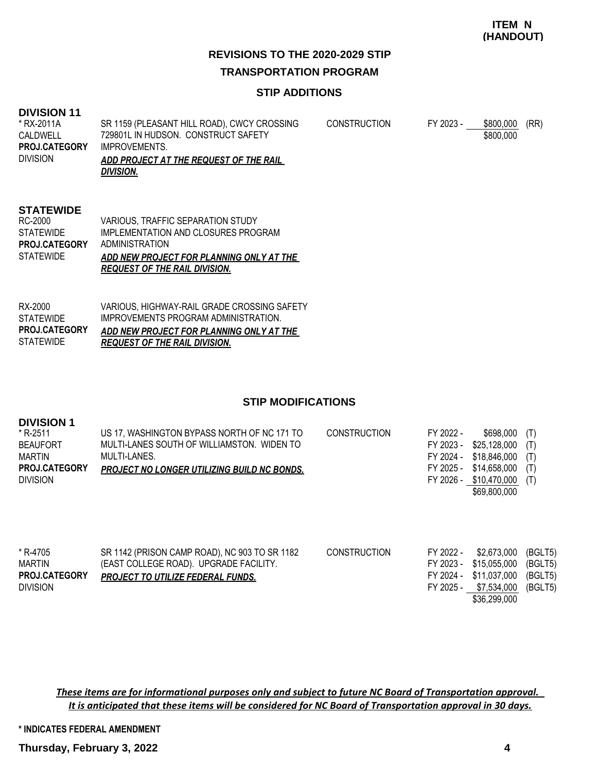## **REVISIONS TO THE 2020-2029 STIP TRANSPORTATION PROGRAM**

#### **STIP ADDITIONS**

#### **DIVISION 11**

| * RX-2011A           | SR 1159 (PLEASANT HILL ROAD), CWCY CROSSING | <b>CONSTRUCTION</b> | FY 2023 - | \$800,000 | (RR) |
|----------------------|---------------------------------------------|---------------------|-----------|-----------|------|
| CALDWELL             | 729801L IN HUDSON. CONSTRUCT SAFETY         |                     |           | \$800,000 |      |
| <b>PROJ.CATEGORY</b> | IMPROVEMENTS.                               |                     |           |           |      |
| <b>DIVISION</b>      | ADD PROJECT AT THE REQUEST OF THE RAIL      |                     |           |           |      |
|                      | <b>DIVISION.</b>                            |                     |           |           |      |

#### **STATEWIDE**

|                      | <b>REQUEST OF THE RAIL DIVISION.</b>     |
|----------------------|------------------------------------------|
| <b>STATEWIDE</b>     | ADD NEW PROJECT FOR PLANNING ONLY AT THE |
| <b>PROJ.CATEGORY</b> | ADMINISTRATION                           |
| STATEWIDE            | IMPLEMENTATION AND CLOSURES PROGRAM      |
| RC-2000              | VARIOUS. TRAFFIC SEPARATION STUDY        |

| RX-2000              | VARIOUS. HIGHWAY-RAIL GRADE CROSSING SAFETY |
|----------------------|---------------------------------------------|
| STATEWIDE            | IMPROVEMENTS PROGRAM ADMINISTRATION.        |
| <b>PROJ.CATEGORY</b> | ADD NEW PROJECT FOR PLANNING ONLY AT THE    |
|                      |                                             |

#### **STIP MODIFICATIONS**

| <b>DIVISION 1</b><br>* R-2511<br><b>BEAUFORT</b><br>MARTIN<br><b>PROJ.CATEGORY</b><br><b>DIVISION</b> | US 17, WASHINGTON BYPASS NORTH OF NC 171 TO<br>MULTI-LANES SOUTH OF WILLIAMSTON. WIDEN TO<br>MULTI-LANES.<br>PROJECT NO LONGER UTILIZING BUILD NC BONDS. | <b>CONSTRUCTION</b> | FY 2022 -<br>FY 2023 -<br>FY 2024 -<br>FY 2025 -<br>FY 2026 - | \$698,000<br>\$25,128,000<br>\$18,846,000<br>\$14,658,000<br>\$10.470.000<br>\$69,800,000 | (T)<br>(T)<br>(T)<br>(T)<br>(T)          |
|-------------------------------------------------------------------------------------------------------|----------------------------------------------------------------------------------------------------------------------------------------------------------|---------------------|---------------------------------------------------------------|-------------------------------------------------------------------------------------------|------------------------------------------|
| * R-4705<br><b>MARTIN</b><br><b>PROJ.CATEGORY</b><br><b>DIVISION</b>                                  | SR 1142 (PRISON CAMP ROAD), NC 903 TO SR 1182<br>(EAST COLLEGE ROAD). UPGRADE FACILITY.<br><b>PROJECT TO UTILIZE FEDERAL FUNDS.</b>                      | <b>CONSTRUCTION</b> | FY 2022 -<br>FY 2023 -<br>FY 2024 -<br>FY 2025 -              | \$2,673,000<br>\$15,055,000<br>\$11,037,000<br>\$7,534,000<br>\$36,299,000                | (BGLT5)<br>(BGLT5)<br>(BGLT5)<br>(BGLT5) |

*These items are for informational purposes only and subject to future NC Board of Transportation approval. It is anticipated that these items will be considered for NC Board of Transportation approval in 30 days.*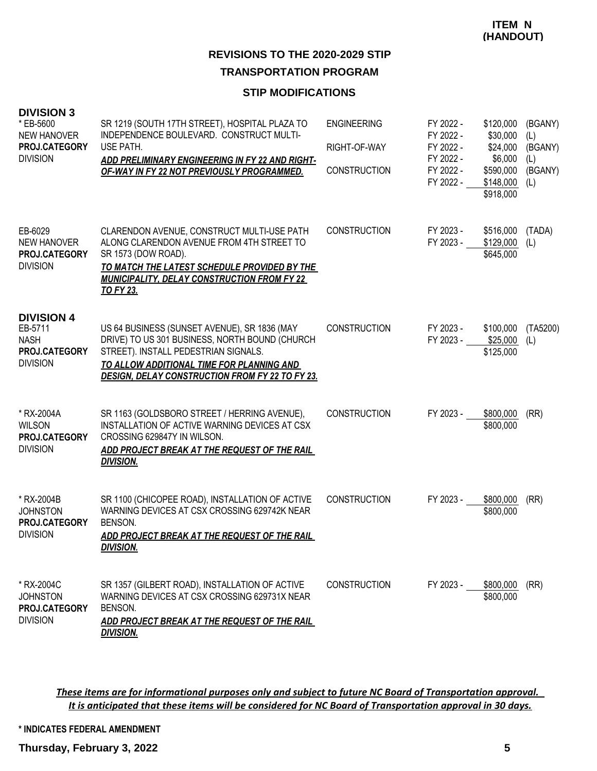#### **STIP MODIFICATIONS**

| <b>DIVISION 3</b><br>* EB-5600<br><b>NEW HANOVER</b><br><b>PROJ.CATEGORY</b><br><b>DIVISION</b> | SR 1219 (SOUTH 17TH STREET), HOSPITAL PLAZA TO<br>INDEPENDENCE BOULEVARD. CONSTRUCT MULTI-<br>USE PATH.<br>ADD PRELIMINARY ENGINEERING IN FY 22 AND RIGHT-<br>OF-WAY IN FY 22 NOT PREVIOUSLY PROGRAMMED.                                      | <b>ENGINEERING</b><br>RIGHT-OF-WAY<br><b>CONSTRUCTION</b> | FY 2022 -<br>FY 2022 -<br>FY 2022 -<br>FY 2022 -<br>FY 2022 -<br>FY 2022 - | \$120,000<br>\$30,000<br>\$24,000<br>\$6,000<br>\$590,000<br>\$148,000<br>\$918,000 | (BGANY)<br>(L)<br>(BGANY)<br>(L)<br>(BGANY)<br>(L) |
|-------------------------------------------------------------------------------------------------|-----------------------------------------------------------------------------------------------------------------------------------------------------------------------------------------------------------------------------------------------|-----------------------------------------------------------|----------------------------------------------------------------------------|-------------------------------------------------------------------------------------|----------------------------------------------------|
| EB-6029<br><b>NEW HANOVER</b><br>PROJ.CATEGORY<br><b>DIVISION</b>                               | CLARENDON AVENUE, CONSTRUCT MULTI-USE PATH<br>ALONG CLARENDON AVENUE FROM 4TH STREET TO<br>SR 1573 (DOW ROAD).<br>TO MATCH THE LATEST SCHEDULE PROVIDED BY THE<br><b>MUNICIPALITY, DELAY CONSTRUCTION FROM FY 22</b><br><b>TO FY 23.</b>      | <b>CONSTRUCTION</b>                                       | FY 2023 -<br>FY 2023 -                                                     | \$516,000<br>\$129,000<br>\$645,000                                                 | (TADA)<br>(L)                                      |
| <b>DIVISION 4</b><br>EB-5711<br><b>NASH</b><br><b>PROJ.CATEGORY</b><br><b>DIVISION</b>          | US 64 BUSINESS (SUNSET AVENUE), SR 1836 (MAY<br>DRIVE) TO US 301 BUSINESS, NORTH BOUND (CHURCH<br>STREET). INSTALL PEDESTRIAN SIGNALS.<br>TO ALLOW ADDITIONAL TIME FOR PLANNING AND<br><b>DESIGN, DELAY CONSTRUCTION FROM FY 22 TO FY 23.</b> | <b>CONSTRUCTION</b>                                       | FY 2023 -<br>FY 2023 -                                                     | \$100,000<br>\$25,000<br>\$125,000                                                  | (TA5200)<br>(L)                                    |
| * RX-2004A<br><b>WILSON</b><br>PROJ.CATEGORY<br><b>DIVISION</b>                                 | SR 1163 (GOLDSBORO STREET / HERRING AVENUE),<br>INSTALLATION OF ACTIVE WARNING DEVICES AT CSX<br>CROSSING 629847Y IN WILSON.<br>ADD PROJECT BREAK AT THE REQUEST OF THE RAIL<br><b>DIVISION.</b>                                              | <b>CONSTRUCTION</b>                                       | FY 2023 -                                                                  | \$800,000<br>\$800,000                                                              | (RR)                                               |
| * RX-2004B<br><b>JOHNSTON</b><br>PROJ.CATEGORY<br><b>DIVISION</b>                               | SR 1100 (CHICOPEE ROAD), INSTALLATION OF ACTIVE<br>WARNING DEVICES AT CSX CROSSING 629742K NEAR<br>BENSON.<br><u>ADD PROJECT BREAK AT THE REQUEST OF THE RAIL</u><br><b>DIVISION.</b>                                                         | <b>CONSTRUCTION</b>                                       | FY 2023 -                                                                  | \$800,000<br>\$800,000                                                              | (RR)                                               |
| * RX-2004C<br><b>JOHNSTON</b><br>PROJ.CATEGORY<br><b>DIVISION</b>                               | SR 1357 (GILBERT ROAD), INSTALLATION OF ACTIVE<br>WARNING DEVICES AT CSX CROSSING 629731X NEAR<br>BENSON.<br>ADD PROJECT BREAK AT THE REQUEST OF THE RAIL<br><b>DIVISION.</b>                                                                 | <b>CONSTRUCTION</b>                                       | FY 2023 -                                                                  | \$800,000<br>\$800,000                                                              | (RR)                                               |

*These items are for informational purposes only and subject to future NC Board of Transportation approval. It is anticipated that these items will be considered for NC Board of Transportation approval in 30 days.*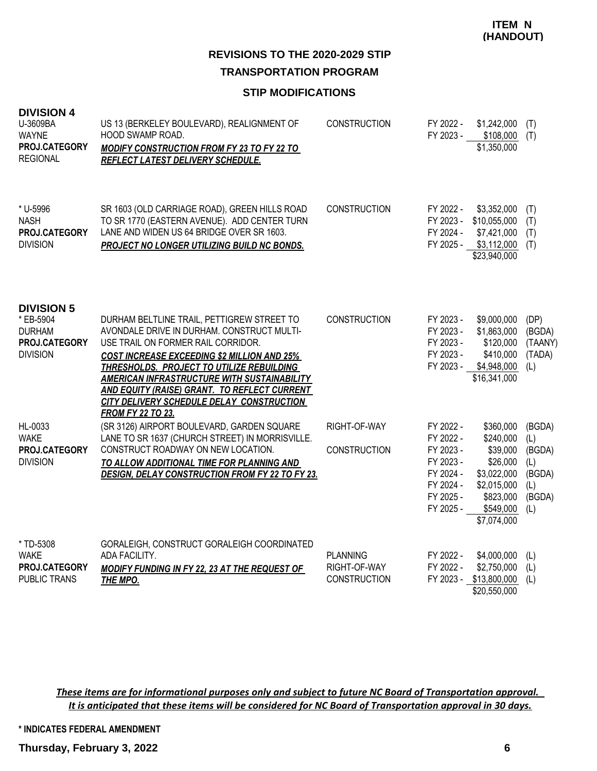#### **STIP MODIFICATIONS**

| <b>DIVISION 4</b><br>U-3609BA<br><b>WAYNE</b><br>PROJ.CATEGORY<br><b>REGIONAL</b>   | US 13 (BERKELEY BOULEVARD), REALIGNMENT OF<br><b>HOOD SWAMP ROAD.</b><br><b>MODIFY CONSTRUCTION FROM FY 23 TO FY 22 TO</b><br>REFLECT LATEST DELIVERY SCHEDULE.                                                                                                                                                                                                                                                  | <b>CONSTRUCTION</b>                                    | FY 2022 -<br>FY 2023 -                                                                               | \$1,242,000<br>\$108,000<br>\$1,350,000                                                                               | (T)<br>(T)                                                       |
|-------------------------------------------------------------------------------------|------------------------------------------------------------------------------------------------------------------------------------------------------------------------------------------------------------------------------------------------------------------------------------------------------------------------------------------------------------------------------------------------------------------|--------------------------------------------------------|------------------------------------------------------------------------------------------------------|-----------------------------------------------------------------------------------------------------------------------|------------------------------------------------------------------|
| * U-5996<br><b>NASH</b><br>PROJ.CATEGORY<br><b>DIVISION</b>                         | SR 1603 (OLD CARRIAGE ROAD), GREEN HILLS ROAD<br>TO SR 1770 (EASTERN AVENUE). ADD CENTER TURN<br>LANE AND WIDEN US 64 BRIDGE OVER SR 1603.<br><b>PROJECT NO LONGER UTILIZING BUILD NC BONDS.</b>                                                                                                                                                                                                                 | <b>CONSTRUCTION</b>                                    | FY 2022 -<br>FY 2023 -<br>FY 2024 -<br>FY 2025 -                                                     | \$3,352,000<br>\$10,055,000<br>\$7,421,000<br>\$3,112,000<br>\$23,940,000                                             | (T)<br>(T)<br>(T)<br>(T)                                         |
| <b>DIVISION 5</b><br>* EB-5904<br><b>DURHAM</b><br>PROJ.CATEGORY<br><b>DIVISION</b> | DURHAM BELTLINE TRAIL, PETTIGREW STREET TO<br>AVONDALE DRIVE IN DURHAM. CONSTRUCT MULTI-<br>USE TRAIL ON FORMER RAIL CORRIDOR.<br><b>COST INCREASE EXCEEDING \$2 MILLION AND 25%</b><br>THRESHOLDS. PROJECT TO UTILIZE REBUILDING<br><b>AMERICAN INFRASTRUCTURE WITH SUSTAINABILITY</b><br>AND EQUITY (RAISE) GRANT. TO REFLECT CURRENT<br>CITY DELIVERY SCHEDULE DELAY CONSTRUCTION<br><b>FROM FY 22 TO 23.</b> | <b>CONSTRUCTION</b>                                    | FY 2023 -<br>FY 2023 -<br>FY 2023 -<br>FY 2023 -<br>FY 2023 -                                        | \$9,000,000<br>\$1,863,000<br>\$120,000<br>\$410,000<br>\$4,948,000<br>\$16,341,000                                   | (DP)<br>(BGDA)<br>(TAANY)<br>(TADA)<br>(L)                       |
| HL-0033<br><b>WAKE</b><br>PROJ.CATEGORY<br><b>DIVISION</b>                          | (SR 3126) AIRPORT BOULEVARD, GARDEN SQUARE<br>LANE TO SR 1637 (CHURCH STREET) IN MORRISVILLE.<br>CONSTRUCT ROADWAY ON NEW LOCATION.<br>TO ALLOW ADDITIONAL TIME FOR PLANNING AND<br><b>DESIGN, DELAY CONSTRUCTION FROM FY 22 TO FY 23.</b>                                                                                                                                                                       | RIGHT-OF-WAY<br>CONSTRUCTION                           | FY 2022 -<br>FY 2022 -<br>FY 2023 -<br>FY 2023 -<br>FY 2024 -<br>FY 2024 -<br>FY 2025 -<br>FY 2025 - | \$360,000<br>\$240,000<br>\$39,000<br>\$26,000<br>\$3,022,000<br>\$2,015,000<br>\$823,000<br>\$549,000<br>\$7,074,000 | (BGDA)<br>(L)<br>(BGDA)<br>(L)<br>(BGDA)<br>(L)<br>(BGDA)<br>(L) |
| * TD-5308<br><b>WAKE</b><br>PROJ.CATEGORY<br><b>PUBLIC TRANS</b>                    | GORALEIGH, CONSTRUCT GORALEIGH COORDINATED<br>ADA FACILITY.<br><b>MODIFY FUNDING IN FY 22, 23 AT THE REQUEST OF</b><br><b>THE MPO.</b>                                                                                                                                                                                                                                                                           | <b>PLANNING</b><br>RIGHT-OF-WAY<br><b>CONSTRUCTION</b> | FY 2022 -<br>FY 2022 -                                                                               | \$4,000,000<br>\$2,750,000<br>FY 2023 - \$13,800,000<br>\$20,550,000                                                  | (L)<br>(L)<br>(L)                                                |

*These items are for informational purposes only and subject to future NC Board of Transportation approval. It is anticipated that these items will be considered for NC Board of Transportation approval in 30 days.*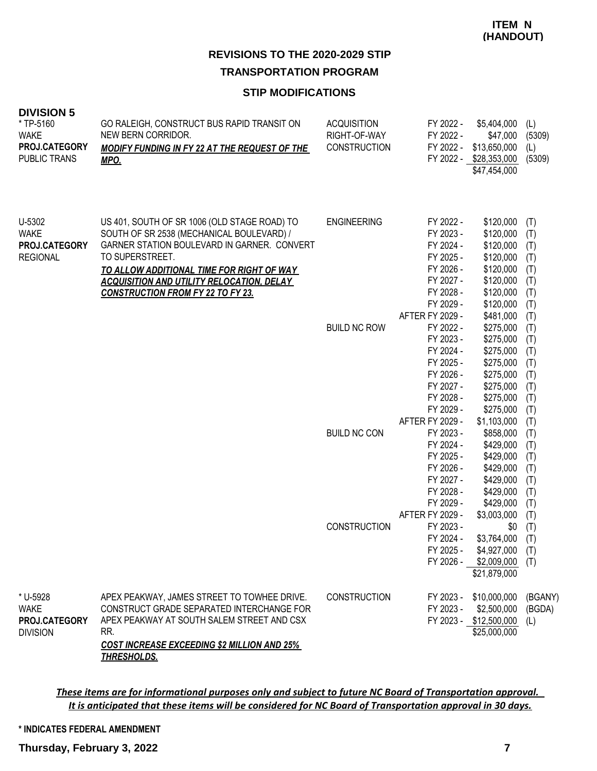#### **STIP MODIFICATIONS**

| <b>DIVISION 5</b><br>*TP-5160<br><b>WAKE</b><br>PROJ.CATEGORY<br>PUBLIC TRANS | GO RALEIGH, CONSTRUCT BUS RAPID TRANSIT ON<br>NEW BERN CORRIDOR.<br><b>MODIFY FUNDING IN FY 22 AT THE REQUEST OF THE</b><br><b>MPO.</b>                                                                                                                                                                         | <b>ACQUISITION</b><br>RIGHT-OF-WAY<br>CONSTRUCTION | FY 2022 -<br>FY 2022 -<br>FY 2022 -                                                                                                                                         | \$5,404,000<br>\$47,000<br>\$13,650,000<br>FY 2022 - \$28,353,000<br>\$47,454,000                                                                                     | (L)<br>(5309)<br>(L)<br>(5309)                                                          |
|-------------------------------------------------------------------------------|-----------------------------------------------------------------------------------------------------------------------------------------------------------------------------------------------------------------------------------------------------------------------------------------------------------------|----------------------------------------------------|-----------------------------------------------------------------------------------------------------------------------------------------------------------------------------|-----------------------------------------------------------------------------------------------------------------------------------------------------------------------|-----------------------------------------------------------------------------------------|
| U-5302<br><b>WAKE</b><br>PROJ.CATEGORY<br><b>REGIONAL</b>                     | US 401, SOUTH OF SR 1006 (OLD STAGE ROAD) TO<br>SOUTH OF SR 2538 (MECHANICAL BOULEVARD) /<br>GARNER STATION BOULEVARD IN GARNER. CONVERT<br>TO SUPERSTREET.<br><u>TO ALLOW ADDITIONAL TIME FOR RIGHT OF WAY</u><br><b>ACQUISITION AND UTILITY RELOCATION, DELAY</b><br><b>CONSTRUCTION FROM FY 22 TO FY 23.</b> | <b>ENGINEERING</b><br><b>BUILD NC ROW</b>          | FY 2022 -<br>FY 2023 -<br>FY 2024 -<br>FY 2025 -<br>FY 2026 -<br>FY 2027 -<br>FY 2028 -<br>FY 2029 -<br>AFTER FY 2029 -<br>FY 2022 -<br>FY 2023 -<br>FY 2024 -<br>FY 2025 - | \$120,000<br>\$120,000<br>\$120,000<br>\$120,000<br>\$120,000<br>\$120,000<br>\$120,000<br>\$120,000<br>\$481,000<br>\$275,000<br>\$275,000<br>\$275,000<br>\$275,000 | (T)<br>(T)<br>(T)<br>(T)<br>(T)<br>(T)<br>(T)<br>(T)<br>(T)<br>(T)<br>(T)<br>(T)<br>(T) |
|                                                                               |                                                                                                                                                                                                                                                                                                                 | <b>BUILD NC CON</b>                                | FY 2026 -<br>FY 2027 -<br>FY 2028 -<br>FY 2029 -<br>AFTER FY 2029 -<br>FY 2023 -<br>FY 2024 -<br>FY 2025 -<br>FY 2026 -<br>FY 2027 -<br>FY 2028 -<br>FY 2029 -              | \$275,000<br>\$275,000<br>\$275,000<br>\$275,000<br>\$1,103,000<br>\$858,000<br>\$429,000<br>\$429,000<br>\$429,000<br>\$429,000<br>\$429,000<br>\$429,000            | (T)<br>(T)<br>(T)<br>(T)<br>(T)<br>(T)<br>(T)<br>(T)<br>(T)<br>(T)<br>(T)<br>(T)        |
|                                                                               |                                                                                                                                                                                                                                                                                                                 | <b>CONSTRUCTION</b>                                | AFTER FY 2029 -<br>FY 2023 -<br>FY 2024 -<br>FY 2025 -<br>FY 2026 -                                                                                                         | \$3,003,000<br>\$0<br>\$3,764,000<br>\$4,927,000<br>\$2,009,000<br>\$21,879,000                                                                                       | (T)<br>(T)<br>(T)<br>(T)<br>(T)                                                         |
| * U-5928<br><b>WAKE</b><br>PROJ.CATEGORY<br><b>DIVISION</b>                   | APEX PEAKWAY, JAMES STREET TO TOWHEE DRIVE.<br>CONSTRUCT GRADE SEPARATED INTERCHANGE FOR<br>APEX PEAKWAY AT SOUTH SALEM STREET AND CSX<br>RR.<br><b>COST INCREASE EXCEEDING \$2 MILLION AND 25%</b><br><b>THRESHOLDS.</b>                                                                                       | <b>CONSTRUCTION</b>                                | FY 2023 -<br>FY 2023 -                                                                                                                                                      | \$10,000,000<br>\$2,500,000<br>FY 2023 - \$12,500,000<br>\$25,000,000                                                                                                 | (BGANY)<br>(BGDA)<br>(L)                                                                |

*These items are for informational purposes only and subject to future NC Board of Transportation approval. It is anticipated that these items will be considered for NC Board of Transportation approval in 30 days.*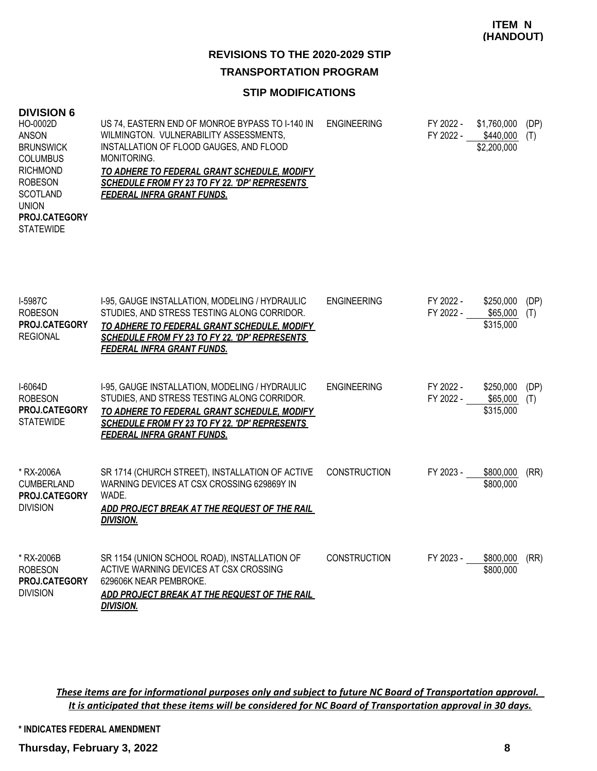# **REVISIONS TO THE 2020-2029 STIP**

## **TRANSPORTATION PROGRAM**

## **STIP MODIFICATIONS**

| <b>DIVISION 6</b><br>HO-0002D<br><b>ANSON</b><br><b>BRUNSWICK</b><br><b>COLUMBUS</b><br><b>RICHMOND</b><br><b>ROBESON</b><br><b>SCOTLAND</b><br><b>UNION</b><br>PROJ.CATEGORY<br><b>STATEWIDE</b> | US 74, EASTERN END OF MONROE BYPASS TO I-140 IN<br>WILMINGTON. VULNERABILITY ASSESSMENTS,<br>INSTALLATION OF FLOOD GAUGES, AND FLOOD<br>MONITORING.<br>TO ADHERE TO FEDERAL GRANT SCHEDULE, MODIFY<br>SCHEDULE FROM FY 23 TO FY 22. 'DP' REPRESENTS<br><b>FEDERAL INFRA GRANT FUNDS.</b> | <b>ENGINEERING</b>  | FY 2022 -<br>FY 2022 - | \$1,760,000<br>\$440,000<br>\$2,200,000 | (DP)<br>(T) |
|---------------------------------------------------------------------------------------------------------------------------------------------------------------------------------------------------|------------------------------------------------------------------------------------------------------------------------------------------------------------------------------------------------------------------------------------------------------------------------------------------|---------------------|------------------------|-----------------------------------------|-------------|
| I-5987C<br><b>ROBESON</b><br>PROJ.CATEGORY<br><b>REGIONAL</b>                                                                                                                                     | I-95, GAUGE INSTALLATION, MODELING / HYDRAULIC<br>STUDIES, AND STRESS TESTING ALONG CORRIDOR.<br>TO ADHERE TO FEDERAL GRANT SCHEDULE, MODIFY<br>SCHEDULE FROM FY 23 TO FY 22. 'DP' REPRESENTS<br><b>FEDERAL INFRA GRANT FUNDS.</b>                                                       | <b>ENGINEERING</b>  | FY 2022 -<br>FY 2022 - | \$250,000<br>\$65,000<br>\$315,000      | (DP)<br>(T) |
| I-6064D<br><b>ROBESON</b><br>PROJ.CATEGORY<br><b>STATEWIDE</b>                                                                                                                                    | I-95, GAUGE INSTALLATION, MODELING / HYDRAULIC<br>STUDIES, AND STRESS TESTING ALONG CORRIDOR.<br>TO ADHERE TO FEDERAL GRANT SCHEDULE, MODIFY<br>SCHEDULE FROM FY 23 TO FY 22. 'DP' REPRESENTS<br><b>FEDERAL INFRA GRANT FUNDS.</b>                                                       | <b>ENGINEERING</b>  | FY 2022 -<br>FY 2022 - | \$250,000<br>\$65,000<br>\$315,000      | (DP)<br>(T) |
| * RX-2006A<br><b>CUMBERLAND</b><br>PROJ.CATEGORY<br><b>DIVISION</b>                                                                                                                               | SR 1714 (CHURCH STREET), INSTALLATION OF ACTIVE<br>WARNING DEVICES AT CSX CROSSING 629869Y IN<br>WADE.<br>ADD PROJECT BREAK AT THE REQUEST OF THE RAIL<br><b>DIVISION.</b>                                                                                                               | <b>CONSTRUCTION</b> | FY 2023 -              | \$800,000<br>\$800,000                  | (RR)        |
| * RX-2006B<br><b>ROBESON</b>                                                                                                                                                                      | SR 1154 (UNION SCHOOL ROAD), INSTALLATION OF<br>ACTIVE WARNING DEVICES AT CSX CROSSING                                                                                                                                                                                                   | <b>CONSTRUCTION</b> | FY 2023 -              | \$800,000<br>\$800,000                  | (RR)        |

629606K NEAR PEMBROKE. **PROJ.CATEGORY** *ADD PROJECT BREAK AT THE REQUEST OF THE RAIL DIVISION.* DIVISION

> *These items are for informational purposes only and subject to future NC Board of Transportation approval. It is anticipated that these items will be considered for NC Board of Transportation approval in 30 days.*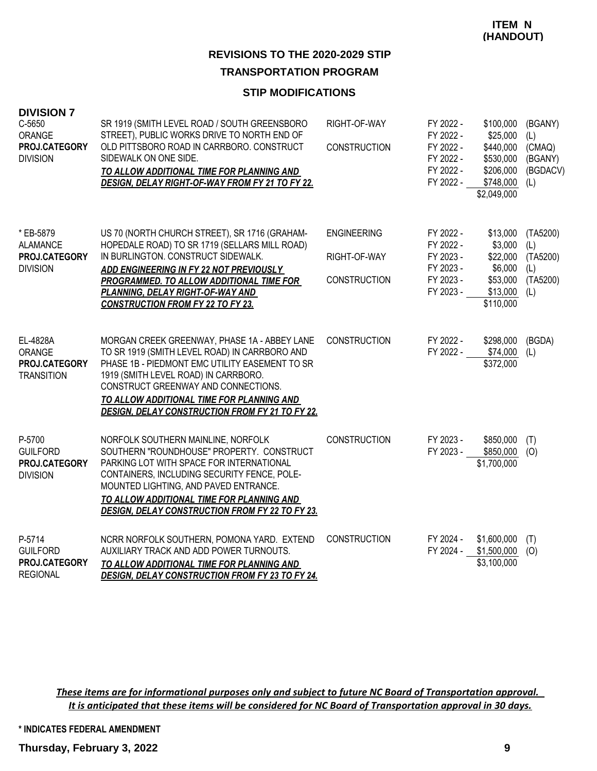#### **STIP MODIFICATIONS**

| <b>DIVISION 7</b><br>C-5650<br>ORANGE<br>PROJ.CATEGORY<br><b>DIVISION</b> | SR 1919 (SMITH LEVEL ROAD / SOUTH GREENSBORO<br>STREET), PUBLIC WORKS DRIVE TO NORTH END OF<br>OLD PITTSBORO ROAD IN CARRBORO. CONSTRUCT<br>SIDEWALK ON ONE SIDE.<br>TO ALLOW ADDITIONAL TIME FOR PLANNING AND<br>DESIGN, DELAY RIGHT-OF-WAY FROM FY 21 TO FY 22.                                                                     | RIGHT-OF-WAY<br><b>CONSTRUCTION</b>                       | FY 2022 -<br>FY 2022 -<br>FY 2022 -<br>FY 2022 -<br>FY 2022 -<br>FY 2022 - | \$100,000<br>\$25,000<br>\$440,000<br>\$530,000<br>\$206,000<br>\$748,000<br>\$2,049,000 | (BGANY)<br>(L)<br>(CMAQ)<br>(BGANY)<br>(BGDACV)<br>(L) |
|---------------------------------------------------------------------------|---------------------------------------------------------------------------------------------------------------------------------------------------------------------------------------------------------------------------------------------------------------------------------------------------------------------------------------|-----------------------------------------------------------|----------------------------------------------------------------------------|------------------------------------------------------------------------------------------|--------------------------------------------------------|
| * EB-5879<br>ALAMANCE<br>PROJ.CATEGORY<br><b>DIVISION</b>                 | US 70 (NORTH CHURCH STREET), SR 1716 (GRAHAM-<br>HOPEDALE ROAD) TO SR 1719 (SELLARS MILL ROAD)<br>IN BURLINGTON. CONSTRUCT SIDEWALK.<br>ADD ENGINEERING IN FY 22 NOT PREVIOUSLY<br><b>PROGRAMMED. TO ALLOW ADDITIONAL TIME FOR</b><br>PLANNING, DELAY RIGHT-OF-WAY AND<br><b>CONSTRUCTION FROM FY 22 TO FY 23.</b>                    | <b>ENGINEERING</b><br>RIGHT-OF-WAY<br><b>CONSTRUCTION</b> | FY 2022 -<br>FY 2022 -<br>FY 2023 -<br>FY 2023 -<br>FY 2023 -<br>FY 2023 - | \$13,000<br>\$3,000<br>\$22,000<br>\$6,000<br>\$53,000<br>\$13,000<br>\$110,000          | (TA5200)<br>(L)<br>(TA5200)<br>(L)<br>(TA5200)<br>(L)  |
| EL-4828A<br><b>ORANGE</b><br>PROJ.CATEGORY<br><b>TRANSITION</b>           | MORGAN CREEK GREENWAY, PHASE 1A - ABBEY LANE<br>TO SR 1919 (SMITH LEVEL ROAD) IN CARRBORO AND<br>PHASE 1B - PIEDMONT EMC UTILITY EASEMENT TO SR<br>1919 (SMITH LEVEL ROAD) IN CARRBORO.<br>CONSTRUCT GREENWAY AND CONNECTIONS.<br>TO ALLOW ADDITIONAL TIME FOR PLANNING AND<br><b>DESIGN, DELAY CONSTRUCTION FROM FY 21 TO FY 22.</b> | <b>CONSTRUCTION</b>                                       | FY 2022 -<br>FY 2022 -                                                     | \$298,000<br>\$74,000<br>\$372,000                                                       | (BGDA)<br>(L)                                          |
| P-5700<br><b>GUILFORD</b><br>PROJ.CATEGORY<br><b>DIVISION</b>             | NORFOLK SOUTHERN MAINLINE, NORFOLK<br>SOUTHERN "ROUNDHOUSE" PROPERTY. CONSTRUCT<br>PARKING LOT WITH SPACE FOR INTERNATIONAL<br>CONTAINERS, INCLUDING SECURITY FENCE, POLE-<br>MOUNTED LIGHTING, AND PAVED ENTRANCE.<br>TO ALLOW ADDITIONAL TIME FOR PLANNING AND<br><b>DESIGN, DELAY CONSTRUCTION FROM FY 22 TO FY 23.</b>            | <b>CONSTRUCTION</b>                                       | FY 2023 -<br>FY 2023 -                                                     | \$850,000<br>\$850,000<br>\$1,700,000                                                    | (T)<br>(O)                                             |
| P-5714<br><b>GUILFORD</b><br>PROJ.CATEGORY<br><b>REGIONAL</b>             | NCRR NORFOLK SOUTHERN, POMONA YARD. EXTEND<br>AUXILIARY TRACK AND ADD POWER TURNOUTS.<br>TO ALLOW ADDITIONAL TIME FOR PLANNING AND<br><b>DESIGN, DELAY CONSTRUCTION FROM FY 23 TO FY 24.</b>                                                                                                                                          | <b>CONSTRUCTION</b>                                       | FY 2024 -<br>FY 2024 -                                                     | \$1,600,000<br>\$1,500,000<br>\$3,100,000                                                | (T)<br>(O)                                             |

*These items are for informational purposes only and subject to future NC Board of Transportation approval. It is anticipated that these items will be considered for NC Board of Transportation approval in 30 days.*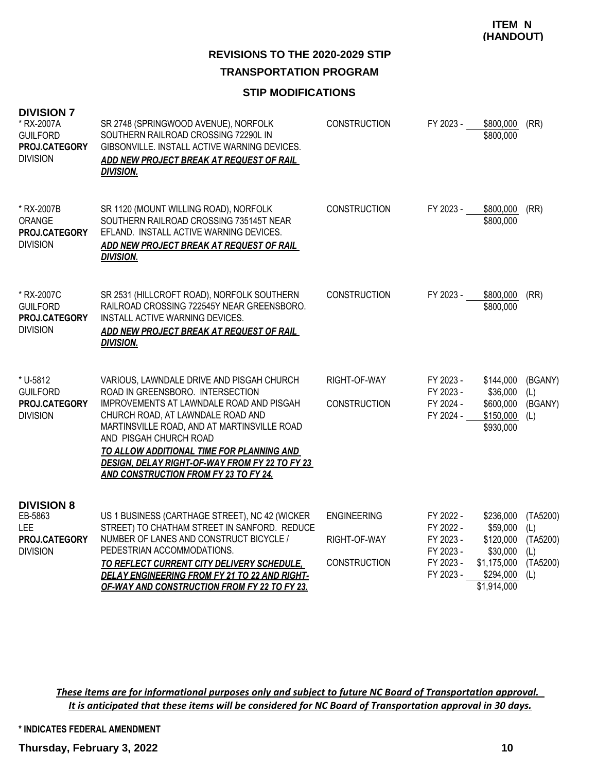## **REVISIONS TO THE 2020-2029 STIP TRANSPORTATION PROGRAM**

#### **STIP MODIFICATIONS**

| <b>DIVISION 7</b><br>* RX-2007A<br><b>GUILFORD</b><br>PROJ.CATEGORY<br><b>DIVISION</b> | SR 2748 (SPRINGWOOD AVENUE), NORFOLK<br>SOUTHERN RAILROAD CROSSING 72290L IN<br>GIBSONVILLE. INSTALL ACTIVE WARNING DEVICES.<br>ADD NEW PROJECT BREAK AT REQUEST OF RAIL<br><b>DIVISION.</b>                                                                                                                                                                                    | <b>CONSTRUCTION</b>                                       | FY 2023 -                                                                  | \$800,000<br>\$800,000                                                                    | (RR)                                                  |
|----------------------------------------------------------------------------------------|---------------------------------------------------------------------------------------------------------------------------------------------------------------------------------------------------------------------------------------------------------------------------------------------------------------------------------------------------------------------------------|-----------------------------------------------------------|----------------------------------------------------------------------------|-------------------------------------------------------------------------------------------|-------------------------------------------------------|
| * RX-2007B<br>ORANGE<br>PROJ.CATEGORY<br><b>DIVISION</b>                               | SR 1120 (MOUNT WILLING ROAD), NORFOLK<br>SOUTHERN RAILROAD CROSSING 735145T NEAR<br>EFLAND. INSTALL ACTIVE WARNING DEVICES.<br>ADD NEW PROJECT BREAK AT REQUEST OF RAIL<br><b>DIVISION.</b>                                                                                                                                                                                     | <b>CONSTRUCTION</b>                                       | FY 2023 -                                                                  | \$800,000<br>\$800,000                                                                    | (RR)                                                  |
| * RX-2007C<br><b>GUILFORD</b><br>PROJ.CATEGORY<br><b>DIVISION</b>                      | SR 2531 (HILLCROFT ROAD), NORFOLK SOUTHERN<br>RAILROAD CROSSING 722545Y NEAR GREENSBORO.<br>INSTALL ACTIVE WARNING DEVICES.<br>ADD NEW PROJECT BREAK AT REQUEST OF RAIL<br><b>DIVISION.</b>                                                                                                                                                                                     | <b>CONSTRUCTION</b>                                       | FY 2023 -                                                                  | \$800,000<br>\$800,000                                                                    | (RR)                                                  |
| * U-5812<br><b>GUILFORD</b><br>PROJ.CATEGORY<br><b>DIVISION</b>                        | VARIOUS, LAWNDALE DRIVE AND PISGAH CHURCH<br>ROAD IN GREENSBORO. INTERSECTION<br>IMPROVEMENTS AT LAWNDALE ROAD AND PISGAH<br>CHURCH ROAD, AT LAWNDALE ROAD AND<br>MARTINSVILLE ROAD, AND AT MARTINSVILLE ROAD<br>AND PISGAH CHURCH ROAD<br>TO ALLOW ADDITIONAL TIME FOR PLANNING AND<br>DESIGN, DELAY RIGHT-OF-WAY FROM FY 22 TO FY 23<br>AND CONSTRUCTION FROM FY 23 TO FY 24. | RIGHT-OF-WAY<br><b>CONSTRUCTION</b>                       | FY 2023 -<br>FY 2023 -<br>FY 2024 -<br>FY 2024 -                           | \$144,000<br>\$36,000<br>\$600,000<br>\$150,000<br>\$930,000                              | (BGANY)<br>(L)<br>(BGANY)<br>(L)                      |
| <b>DIVISION 8</b><br>EB-5863<br><b>LEE</b><br>PROJ.CATEGORY<br><b>DIVISION</b>         | US 1 BUSINESS (CARTHAGE STREET), NC 42 (WICKER<br>STREET) TO CHATHAM STREET IN SANFORD. REDUCE<br>NUMBER OF LANES AND CONSTRUCT BICYCLE /<br>PEDESTRIAN ACCOMMODATIONS.<br>TO REFLECT CURRENT CITY DELIVERY SCHEDULE,<br>DELAY ENGINEERING FROM FY 21 TO 22 AND RIGHT-<br>OF-WAY AND CONSTRUCTION FROM FY 22 TO FY 23.                                                          | <b>ENGINEERING</b><br>RIGHT-OF-WAY<br><b>CONSTRUCTION</b> | FY 2022 -<br>FY 2022 -<br>FY 2023 -<br>FY 2023 -<br>FY 2023 -<br>FY 2023 - | \$236,000<br>\$59,000<br>\$120,000<br>\$30,000<br>\$1,175,000<br>\$294,000<br>\$1,914,000 | (TA5200)<br>(L)<br>(TA5200)<br>(L)<br>(TA5200)<br>(L) |

*These items are for informational purposes only and subject to future NC Board of Transportation approval. It is anticipated that these items will be considered for NC Board of Transportation approval in 30 days.*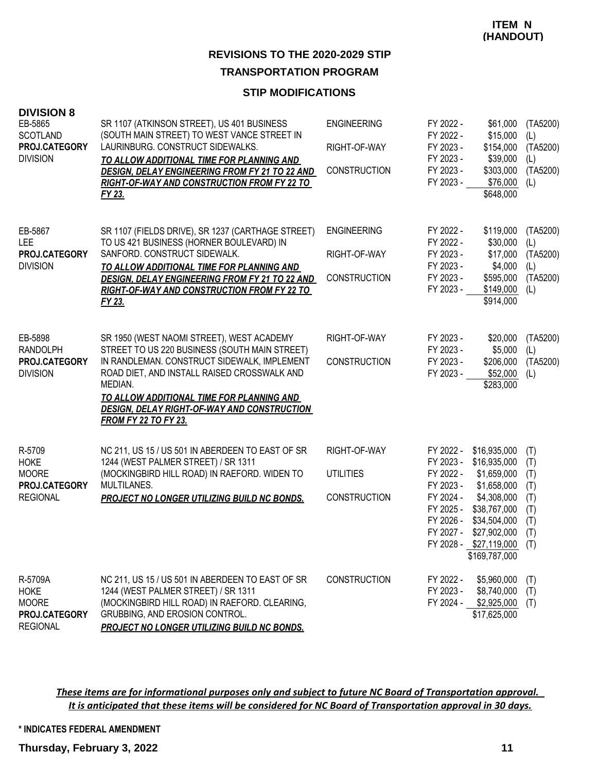#### **STIP MODIFICATIONS**

| <b>DIVISION 8</b><br>EB-5865<br><b>SCOTLAND</b><br>PROJ.CATEGORY<br><b>DIVISION</b> | SR 1107 (ATKINSON STREET), US 401 BUSINESS<br>(SOUTH MAIN STREET) TO WEST VANCE STREET IN<br>LAURINBURG. CONSTRUCT SIDEWALKS.<br>TO ALLOW ADDITIONAL TIME FOR PLANNING AND<br><b>DESIGN, DELAY ENGINEERING FROM FY 21 TO 22 AND</b><br><u>RIGHT-OF-WAY AND CONSTRUCTION FROM FY 22 TO </u><br>FY 23.                                  | <b>ENGINEERING</b><br>RIGHT-OF-WAY<br><b>CONSTRUCTION</b> | FY 2022 -<br>FY 2022 -<br>FY 2023 -<br>FY 2023 -<br>FY 2023 -<br>FY 2023 -                                        | \$61,000<br>\$15,000<br>\$154,000<br>\$39,000<br>\$303,000<br>\$76,000<br>\$648,000                                                                             | (TA5200)<br>(L)<br>(TA5200)<br>(L)<br>(TA5200)<br>(L) |
|-------------------------------------------------------------------------------------|---------------------------------------------------------------------------------------------------------------------------------------------------------------------------------------------------------------------------------------------------------------------------------------------------------------------------------------|-----------------------------------------------------------|-------------------------------------------------------------------------------------------------------------------|-----------------------------------------------------------------------------------------------------------------------------------------------------------------|-------------------------------------------------------|
| EB-5867<br><b>LEE</b><br>PROJ.CATEGORY<br><b>DIVISION</b>                           | SR 1107 (FIELDS DRIVE), SR 1237 (CARTHAGE STREET)<br>TO US 421 BUSINESS (HORNER BOULEVARD) IN<br>SANFORD. CONSTRUCT SIDEWALK.<br>TO ALLOW ADDITIONAL TIME FOR PLANNING AND<br><b>DESIGN, DELAY ENGINEERING FROM FY 21 TO 22 AND</b><br>RIGHT-OF-WAY AND CONSTRUCTION FROM FY 22 TO<br>FY 23.                                          | <b>ENGINEERING</b><br>RIGHT-OF-WAY<br>CONSTRUCTION        | FY 2022 -<br>FY 2022 -<br>FY 2023 -<br>FY 2023 -<br>FY 2023 -<br>FY 2023 -                                        | \$119,000<br>\$30,000<br>\$17,000<br>\$4,000<br>\$595,000<br>\$149,000<br>\$914,000                                                                             | (TA5200)<br>(L)<br>(TA5200)<br>(L)<br>(TA5200)<br>(L) |
| EB-5898<br><b>RANDOLPH</b><br>PROJ.CATEGORY<br><b>DIVISION</b>                      | SR 1950 (WEST NAOMI STREET), WEST ACADEMY<br>STREET TO US 220 BUSINESS (SOUTH MAIN STREET)<br>IN RANDLEMAN. CONSTRUCT SIDEWALK, IMPLEMENT<br>ROAD DIET, AND INSTALL RAISED CROSSWALK AND<br>MEDIAN.<br>TO ALLOW ADDITIONAL TIME FOR PLANNING AND<br><u>DESIGN, DELAY RIGHT-OF-WAY AND CONSTRUCTION</u><br><b>FROM FY 22 TO FY 23.</b> | RIGHT-OF-WAY<br><b>CONSTRUCTION</b>                       | FY 2023 -<br>FY 2023 -<br>FY 2023 -<br>FY 2023 -                                                                  | \$20,000<br>\$5,000<br>\$206,000<br>\$52,000<br>\$283,000                                                                                                       | (TA5200)<br>(L)<br>(TA5200)<br>(L)                    |
| R-5709<br><b>HOKE</b><br><b>MOORE</b><br>PROJ.CATEGORY<br><b>REGIONAL</b>           | NC 211, US 15 / US 501 IN ABERDEEN TO EAST OF SR<br>1244 (WEST PALMER STREET) / SR 1311<br>(MOCKINGBIRD HILL ROAD) IN RAEFORD. WIDEN TO<br>MULTILANES.<br><b>PROJECT NO LONGER UTILIZING BUILD NC BONDS.</b>                                                                                                                          | RIGHT-OF-WAY<br><b>UTILITIES</b><br><b>CONSTRUCTION</b>   | FY 2022 -<br>FY 2023 -<br>FY 2022 -<br>FY 2023 -<br>FY 2024 -<br>FY 2025 -<br>FY 2026 -<br>FY 2027 -<br>FY 2028 - | \$16,935,000<br>\$16,935,000<br>\$1,659,000<br>\$1,658,000<br>\$4,308,000<br>\$38,767,000<br>\$34,504,000<br>\$27,902,000<br>$$27,119,000$ (T)<br>\$169,787,000 | (T)<br>(T)<br>(T)<br>(T)<br>(T)<br>(T)<br>(T)<br>(T)  |
| R-5709A<br><b>HOKE</b><br><b>MOORE</b><br>PROJ.CATEGORY<br><b>REGIONAL</b>          | NC 211, US 15 / US 501 IN ABERDEEN TO EAST OF SR<br>1244 (WEST PALMER STREET) / SR 1311<br>(MOCKINGBIRD HILL ROAD) IN RAEFORD. CLEARING,<br>GRUBBING, AND EROSION CONTROL.<br>PROJECT NO LONGER UTILIZING BUILD NC BONDS.                                                                                                             | <b>CONSTRUCTION</b>                                       | FY 2022 -<br>FY 2023 -                                                                                            | \$5,960,000<br>\$8,740,000<br>FY 2024 - \$2,925,000<br>\$17,625,000                                                                                             | (T)<br>(T)<br>(T)                                     |

*These items are for informational purposes only and subject to future NC Board of Transportation approval. It is anticipated that these items will be considered for NC Board of Transportation approval in 30 days.*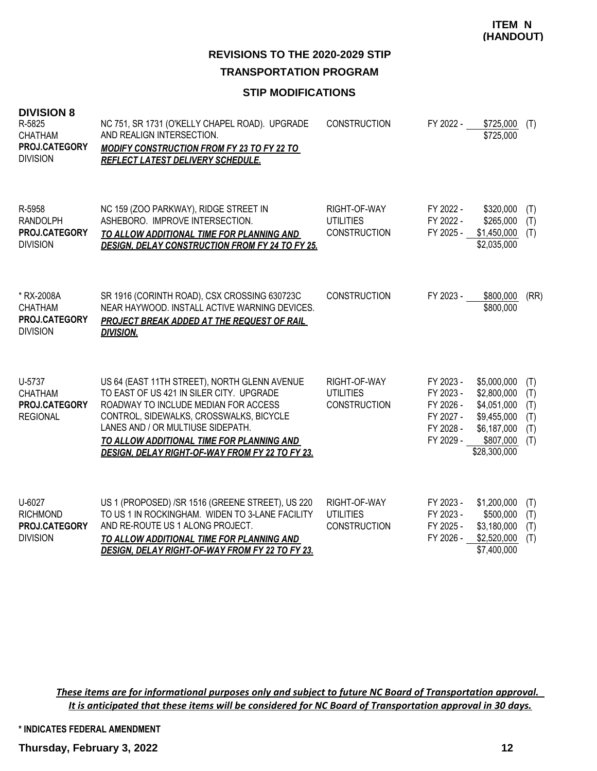## **REVISIONS TO THE 2020-2029 STIP TRANSPORTATION PROGRAM**

#### **STIP MODIFICATIONS**

| <b>DIVISION 8</b><br>R-5825<br><b>CHATHAM</b><br>PROJ.CATEGORY<br><b>DIVISION</b> | NC 751, SR 1731 (O'KELLY CHAPEL ROAD). UPGRADE<br>AND REALIGN INTERSECTION.<br><b>MODIFY CONSTRUCTION FROM FY 23 TO FY 22 TO</b><br><b>REFLECT LATEST DELIVERY SCHEDULE.</b>                                                                                                                                            | <b>CONSTRUCTION</b>                                     | FY 2022 -                                                                  | \$725,000<br>\$725,000                                                                               | (T)                                    |
|-----------------------------------------------------------------------------------|-------------------------------------------------------------------------------------------------------------------------------------------------------------------------------------------------------------------------------------------------------------------------------------------------------------------------|---------------------------------------------------------|----------------------------------------------------------------------------|------------------------------------------------------------------------------------------------------|----------------------------------------|
| R-5958<br><b>RANDOLPH</b><br>PROJ.CATEGORY<br><b>DIVISION</b>                     | NC 159 (ZOO PARKWAY), RIDGE STREET IN<br>ASHEBORO. IMPROVE INTERSECTION.<br>TO ALLOW ADDITIONAL TIME FOR PLANNING AND<br><b>DESIGN, DELAY CONSTRUCTION FROM FY 24 TO FY 25.</b>                                                                                                                                         | RIGHT-OF-WAY<br><b>UTILITIES</b><br><b>CONSTRUCTION</b> | FY 2022 -<br>FY 2022 -<br>FY 2025 -                                        | \$320,000<br>\$265,000<br>\$1,450,000<br>\$2,035,000                                                 | (T)<br>(T)<br>(T)                      |
| * RX-2008A<br><b>CHATHAM</b><br>PROJ.CATEGORY<br><b>DIVISION</b>                  | SR 1916 (CORINTH ROAD), CSX CROSSING 630723C<br>NEAR HAYWOOD. INSTALL ACTIVE WARNING DEVICES.<br><b>PROJECT BREAK ADDED AT THE REQUEST OF RAIL</b><br><b>DIVISION.</b>                                                                                                                                                  | <b>CONSTRUCTION</b>                                     | FY 2023 -                                                                  | \$800,000<br>\$800,000                                                                               | (RR)                                   |
| U-5737<br>CHATHAM<br>PROJ.CATEGORY<br><b>REGIONAL</b>                             | US 64 (EAST 11TH STREET), NORTH GLENN AVENUE<br>TO EAST OF US 421 IN SILER CITY. UPGRADE<br>ROADWAY TO INCLUDE MEDIAN FOR ACCESS<br>CONTROL, SIDEWALKS, CROSSWALKS, BICYCLE<br>LANES AND / OR MULTIUSE SIDEPATH.<br>TO ALLOW ADDITIONAL TIME FOR PLANNING AND<br><b>DESIGN, DELAY RIGHT-OF-WAY FROM FY 22 TO FY 23.</b> | RIGHT-OF-WAY<br><b>UTILITIES</b><br><b>CONSTRUCTION</b> | FY 2023 -<br>FY 2023 -<br>FY 2026 -<br>FY 2027 -<br>FY 2028 -<br>FY 2029 - | \$5,000,000<br>\$2,800,000<br>\$4,051,000<br>\$9,455,000<br>\$6,187,000<br>\$807,000<br>\$28,300,000 | (T)<br>(T)<br>(T)<br>(T)<br>(T)<br>(T) |
| U-6027<br><b>RICHMOND</b><br>PROJ.CATEGORY<br><b>DIVISION</b>                     | US 1 (PROPOSED) /SR 1516 (GREENE STREET), US 220<br>TO US 1 IN ROCKINGHAM. WIDEN TO 3-LANE FACILITY<br>AND RE-ROUTE US 1 ALONG PROJECT.<br>TO ALLOW ADDITIONAL TIME FOR PLANNING AND<br>DESIGN, DELAY RIGHT-OF-WAY FROM FY 22 TO FY 23.                                                                                 | RIGHT-OF-WAY<br><b>UTILITIES</b><br><b>CONSTRUCTION</b> | FY 2023 -<br>FY 2023 -<br>FY 2025 -<br>FY 2026 -                           | \$1,200,000<br>\$500,000<br>\$3,180,000<br>\$2,520,000<br>\$7,400,000                                | (T)<br>(T)<br>(T)<br>(T)               |

*These items are for informational purposes only and subject to future NC Board of Transportation approval. It is anticipated that these items will be considered for NC Board of Transportation approval in 30 days.*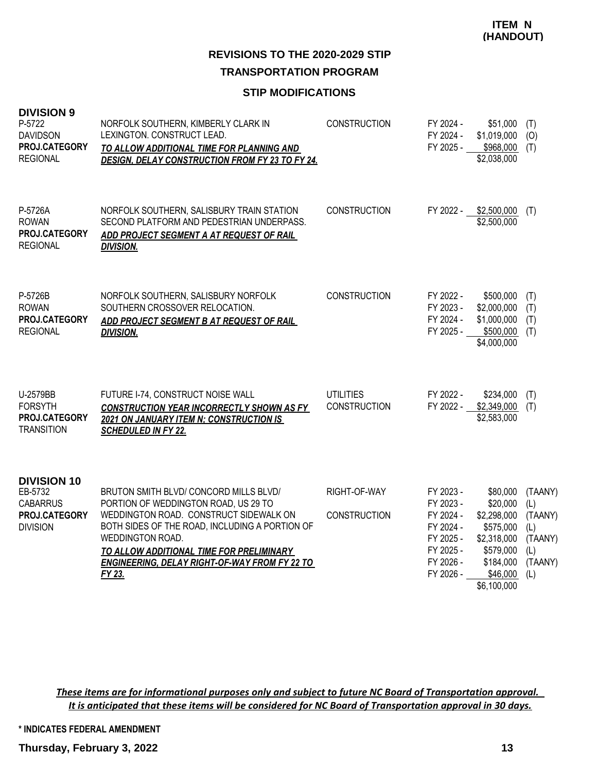#### **STIP MODIFICATIONS**

| <b>DIVISION 9</b><br>P-5722<br><b>DAVIDSON</b><br>PROJ.CATEGORY<br><b>REGIONAL</b>   | NORFOLK SOUTHERN, KIMBERLY CLARK IN<br>LEXINGTON. CONSTRUCT LEAD.<br>TO ALLOW ADDITIONAL TIME FOR PLANNING AND<br><b>DESIGN, DELAY CONSTRUCTION FROM FY 23 TO FY 24.</b>                                                                                                                                    | <b>CONSTRUCTION</b>                     | FY 2024 -<br>FY 2024 -<br>FY 2025 -                                                                  | \$51,000<br>\$1,019,000<br>\$968,000<br>\$2,038,000                                                                  | (T)<br>(O)<br>(T)                                                    |
|--------------------------------------------------------------------------------------|-------------------------------------------------------------------------------------------------------------------------------------------------------------------------------------------------------------------------------------------------------------------------------------------------------------|-----------------------------------------|------------------------------------------------------------------------------------------------------|----------------------------------------------------------------------------------------------------------------------|----------------------------------------------------------------------|
| P-5726A<br><b>ROWAN</b><br>PROJ.CATEGORY<br><b>REGIONAL</b>                          | NORFOLK SOUTHERN, SALISBURY TRAIN STATION<br>SECOND PLATFORM AND PEDESTRIAN UNDERPASS.<br>ADD PROJECT SEGMENT A AT REQUEST OF RAIL<br><b>DIVISION.</b>                                                                                                                                                      | <b>CONSTRUCTION</b>                     | FY 2022 -                                                                                            | \$2,500,000<br>\$2,500,000                                                                                           | (T)                                                                  |
| P-5726B<br><b>ROWAN</b><br>PROJ.CATEGORY<br><b>REGIONAL</b>                          | NORFOLK SOUTHERN, SALISBURY NORFOLK<br>SOUTHERN CROSSOVER RELOCATION.<br>ADD PROJECT SEGMENT B AT REQUEST OF RAIL<br><b>DIVISION.</b>                                                                                                                                                                       | <b>CONSTRUCTION</b>                     | FY 2022 -<br>FY 2023 -<br>FY 2024 -<br>FY 2025 -                                                     | \$500,000<br>\$2,000,000<br>\$1,000,000<br>\$500,000<br>\$4,000,000                                                  | (T)<br>(T)<br>(T)<br>(T)                                             |
| U-2579BB<br><b>FORSYTH</b><br>PROJ.CATEGORY<br><b>TRANSITION</b>                     | FUTURE I-74, CONSTRUCT NOISE WALL<br><b>CONSTRUCTION YEAR INCORRECTLY SHOWN AS FY</b><br><b>2021 ON JANUARY ITEM N: CONSTRUCTION IS</b><br><b>SCHEDULED IN FY 22.</b>                                                                                                                                       | <b>UTILITIES</b><br><b>CONSTRUCTION</b> | FY 2022 -<br>FY 2022 -                                                                               | \$234,000<br>\$2,349,000<br>\$2,583,000                                                                              | (T)<br>(T)                                                           |
| <b>DIVISION 10</b><br>EB-5732<br><b>CABARRUS</b><br>PROJ.CATEGORY<br><b>DIVISION</b> | BRUTON SMITH BLVD/CONCORD MILLS BLVD/<br>PORTION OF WEDDINGTON ROAD, US 29 TO<br>WEDDINGTON ROAD. CONSTRUCT SIDEWALK ON<br>BOTH SIDES OF THE ROAD, INCLUDING A PORTION OF<br>WEDDINGTON ROAD.<br>TO ALLOW ADDITIONAL TIME FOR PRELIMINARY<br><b>ENGINEERING, DELAY RIGHT-OF-WAY FROM FY 22 TO</b><br>FY 23. | RIGHT-OF-WAY<br><b>CONSTRUCTION</b>     | FY 2023 -<br>FY 2023 -<br>FY 2024 -<br>FY 2024 -<br>FY 2025 -<br>FY 2025 -<br>FY 2026 -<br>FY 2026 - | \$80,000<br>\$20,000<br>\$2,298,000<br>\$575,000<br>\$2,318,000<br>\$579,000<br>\$184,000<br>\$46,000<br>\$6,100,000 | (TAANY)<br>(L)<br>(TAANY)<br>(L)<br>(TAANY)<br>(L)<br>(TAANY)<br>(L) |

*These items are for informational purposes only and subject to future NC Board of Transportation approval. It is anticipated that these items will be considered for NC Board of Transportation approval in 30 days.*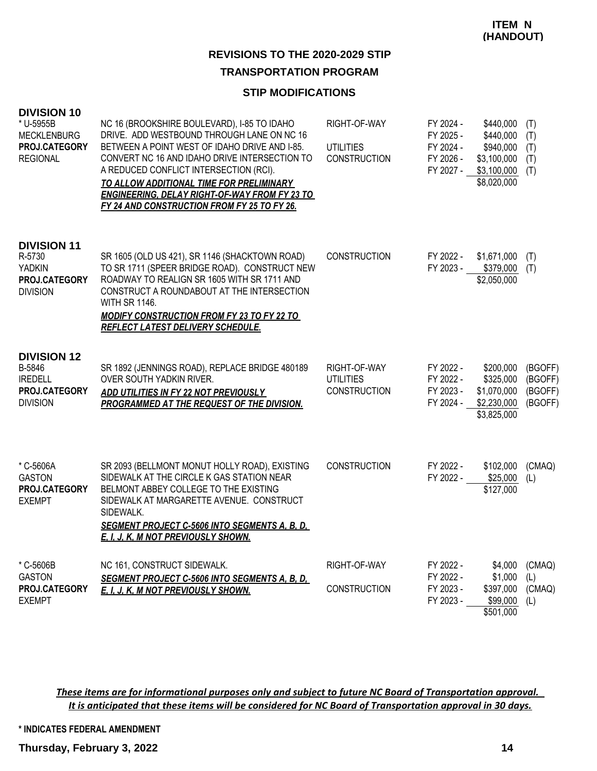#### **STIP MODIFICATIONS**

| <b>DIVISION 10</b><br>* U-5955B<br><b>MECKLENBURG</b><br>PROJ.CATEGORY<br><b>REGIONAL</b> | NC 16 (BROOKSHIRE BOULEVARD), I-85 TO IDAHO<br>DRIVE. ADD WESTBOUND THROUGH LANE ON NC 16<br>BETWEEN A POINT WEST OF IDAHO DRIVE AND I-85.<br>CONVERT NC 16 AND IDAHO DRIVE INTERSECTION TO<br>A REDUCED CONFLICT INTERSECTION (RCI).<br>TO ALLOW ADDITIONAL TIME FOR PRELIMINARY<br><b>ENGINEERING, DELAY RIGHT-OF-WAY FROM FY 23 TO</b><br>FY 24 AND CONSTRUCTION FROM FY 25 TO FY 26. | RIGHT-OF-WAY<br><b>UTILITIES</b><br><b>CONSTRUCTION</b> | FY 2024 -<br>FY 2025 -<br>FY 2024 -<br>FY 2026 -<br>FY 2027 - | \$440,000<br>\$440,000<br>\$940,000<br>\$3,100,000<br>$$3,100,000$ (T)<br>\$8,020,000 | (T)<br>(T)<br>(T)<br>(T)                 |
|-------------------------------------------------------------------------------------------|------------------------------------------------------------------------------------------------------------------------------------------------------------------------------------------------------------------------------------------------------------------------------------------------------------------------------------------------------------------------------------------|---------------------------------------------------------|---------------------------------------------------------------|---------------------------------------------------------------------------------------|------------------------------------------|
| <b>DIVISION 11</b><br>R-5730<br><b>YADKIN</b><br>PROJ.CATEGORY<br><b>DIVISION</b>         | SR 1605 (OLD US 421), SR 1146 (SHACKTOWN ROAD)<br>TO SR 1711 (SPEER BRIDGE ROAD). CONSTRUCT NEW<br>ROADWAY TO REALIGN SR 1605 WITH SR 1711 AND<br>CONSTRUCT A ROUNDABOUT AT THE INTERSECTION<br><b>WITH SR 1146.</b><br><b>MODIFY CONSTRUCTION FROM FY 23 TO FY 22 TO</b><br><b>REFLECT LATEST DELIVERY SCHEDULE.</b>                                                                    | <b>CONSTRUCTION</b>                                     | FY 2022 -                                                     | \$1,671,000<br>FY 2023 - \$379,000<br>\$2,050,000                                     | (T)<br>(T)                               |
| <b>DIVISION 12</b><br>B-5846<br><b>IREDELL</b><br>PROJ.CATEGORY<br><b>DIVISION</b>        | SR 1892 (JENNINGS ROAD), REPLACE BRIDGE 480189<br>OVER SOUTH YADKIN RIVER.<br>ADD UTILITIES IN FY 22 NOT PREVIOUSLY<br>PROGRAMMED AT THE REQUEST OF THE DIVISION.                                                                                                                                                                                                                        | RIGHT-OF-WAY<br><b>UTILITIES</b><br><b>CONSTRUCTION</b> | FY 2022 -<br>FY 2022 -<br>FY 2023 -<br>FY 2024 -              | \$200,000<br>\$325,000<br>\$1,070,000<br>\$2,230,000<br>\$3,825,000                   | (BGOFF)<br>(BGOFF)<br>(BGOFF)<br>(BGOFF) |
| * C-5606A<br><b>GASTON</b><br>PROJ.CATEGORY<br><b>EXEMPT</b>                              | SR 2093 (BELLMONT MONUT HOLLY ROAD), EXISTING<br>SIDEWALK AT THE CIRCLE K GAS STATION NEAR<br>BELMONT ABBEY COLLEGE TO THE EXISTING<br>SIDEWALK AT MARGARETTE AVENUE. CONSTRUCT<br>SIDEWALK.<br><b>SEGMENT PROJECT C-5606 INTO SEGMENTS A, B, D,</b><br>E. I. J. K. M NOT PREVIOUSLY SHOWN.                                                                                              | <b>CONSTRUCTION</b>                                     | FY 2022 -<br>FY 2022 -                                        | \$102,000<br>$$25,000$ (L)<br>\$127,000                                               | (CMAQ)                                   |
| * C-5606B<br><b>GASTON</b><br>PROJ.CATEGORY<br><b>EXEMPT</b>                              | NC 161, CONSTRUCT SIDEWALK.<br><b>SEGMENT PROJECT C-5606 INTO SEGMENTS A, B, D,</b><br>E. I. J. K. M NOT PREVIOUSLY SHOWN.                                                                                                                                                                                                                                                               | RIGHT-OF-WAY<br><b>CONSTRUCTION</b>                     | FY 2022 -<br>FY 2022 -<br>FY 2023 -<br>FY 2023 -              | \$4,000<br>\$1,000<br>\$397,000<br>\$99,000<br>\$501,000                              | (CMAQ)<br>(L)<br>(CMAQ)<br>(L)           |

*These items are for informational purposes only and subject to future NC Board of Transportation approval. It is anticipated that these items will be considered for NC Board of Transportation approval in 30 days.*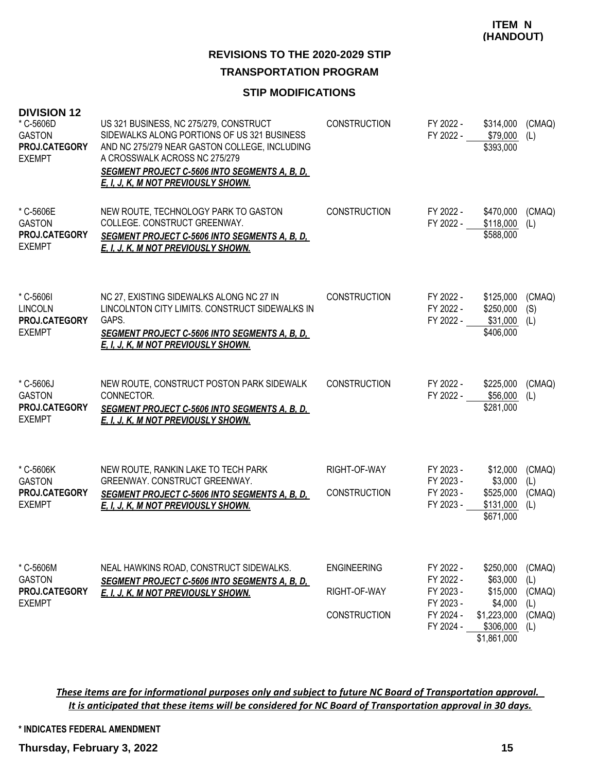# **REVISIONS TO THE 2020-2029 STIP**

## **TRANSPORTATION PROGRAM**

## **STIP MODIFICATIONS**

| <b>DIVISION 12</b><br>* C-5606D<br><b>GASTON</b><br><b>PROJ.CATEGORY</b><br><b>EXEMPT</b> | US 321 BUSINESS, NC 275/279, CONSTRUCT<br>SIDEWALKS ALONG PORTIONS OF US 321 BUSINESS<br>AND NC 275/279 NEAR GASTON COLLEGE, INCLUDING<br>A CROSSWALK ACROSS NC 275/279<br><b>SEGMENT PROJECT C-5606 INTO SEGMENTS A, B, D,</b><br><u>E, I, J, K, M NOT PREVIOUSLY SHOWN.</u> | <b>CONSTRUCTION</b>                                       | FY 2022 -<br>FY 2022 -                                                     | \$314,000<br>\$79,000<br>\$393,000                                                      | (CMAQ)<br>(L)                                   |
|-------------------------------------------------------------------------------------------|-------------------------------------------------------------------------------------------------------------------------------------------------------------------------------------------------------------------------------------------------------------------------------|-----------------------------------------------------------|----------------------------------------------------------------------------|-----------------------------------------------------------------------------------------|-------------------------------------------------|
| * C-5606E<br><b>GASTON</b><br>PROJ.CATEGORY<br><b>EXEMPT</b>                              | NEW ROUTE, TECHNOLOGY PARK TO GASTON<br>COLLEGE. CONSTRUCT GREENWAY.<br><b>SEGMENT PROJECT C-5606 INTO SEGMENTS A, B, D,</b><br>E. I. J. K. M NOT PREVIOUSLY SHOWN.                                                                                                           | <b>CONSTRUCTION</b>                                       | FY 2022 -<br>FY 2022 -                                                     | \$470,000<br>\$118,000<br>\$588,000                                                     | (CMAQ)<br>(L)                                   |
| * C-5606I<br><b>LINCOLN</b><br>PROJ.CATEGORY<br><b>EXEMPT</b>                             | NC 27, EXISTING SIDEWALKS ALONG NC 27 IN<br>LINCOLNTON CITY LIMITS, CONSTRUCT SIDEWALKS IN<br>GAPS.<br><u>SEGMENT PROJECT C-5606 INTO SEGMENTS A, B, D, </u><br>E. I. J. K. M NOT PREVIOUSLY SHOWN.                                                                           | <b>CONSTRUCTION</b>                                       | FY 2022 -<br>FY 2022 -<br>FY 2022 -                                        | \$125,000<br>\$250,000<br>\$31,000<br>\$406,000                                         | (CMAQ)<br>(S)<br>(L)                            |
| * C-5606J<br><b>GASTON</b><br>PROJ.CATEGORY<br><b>EXEMPT</b>                              | NEW ROUTE, CONSTRUCT POSTON PARK SIDEWALK<br>CONNECTOR.<br><b>SEGMENT PROJECT C-5606 INTO SEGMENTS A, B, D,</b><br>E. I. J. K. M NOT PREVIOUSLY SHOWN.                                                                                                                        | <b>CONSTRUCTION</b>                                       | FY 2022 -<br>FY 2022 -                                                     | \$225,000<br>\$56,000<br>\$281,000                                                      | (CMAQ)<br>(L)                                   |
| * C-5606K<br><b>GASTON</b><br>PROJ.CATEGORY<br><b>EXEMPT</b>                              | NEW ROUTE, RANKIN LAKE TO TECH PARK<br>GREENWAY. CONSTRUCT GREENWAY.<br><b>SEGMENT PROJECT C-5606 INTO SEGMENTS A, B, D,</b><br>E. I. J. K. M NOT PREVIOUSLY SHOWN.                                                                                                           | RIGHT-OF-WAY<br><b>CONSTRUCTION</b>                       | FY 2023 -<br>FY 2023 -<br>FY 2023 -<br>FY 2023 -                           | \$12,000<br>\$3,000<br>\$525,000<br>\$131,000<br>\$671,000                              | (CMAQ)<br>(L)<br>(CMAQ)<br>(L)                  |
| * C-5606M<br><b>GASTON</b><br>PROJ.CATEGORY<br><b>EXEMPT</b>                              | NEAL HAWKINS ROAD, CONSTRUCT SIDEWALKS.<br><b>SEGMENT PROJECT C-5606 INTO SEGMENTS A. B. D.</b><br>E. I. J. K. M NOT PREVIOUSLY SHOWN.                                                                                                                                        | <b>ENGINEERING</b><br>RIGHT-OF-WAY<br><b>CONSTRUCTION</b> | FY 2022 -<br>FY 2022 -<br>FY 2023 -<br>FY 2023 -<br>FY 2024 -<br>FY 2024 - | \$250,000<br>\$63,000<br>\$15,000<br>\$4,000<br>\$1,223,000<br>\$306,000<br>\$1,861,000 | (CMAQ)<br>(L)<br>(CMAQ)<br>(L)<br>(CMAQ)<br>(L) |

*These items are for informational purposes only and subject to future NC Board of Transportation approval. It is anticipated that these items will be considered for NC Board of Transportation approval in 30 days.*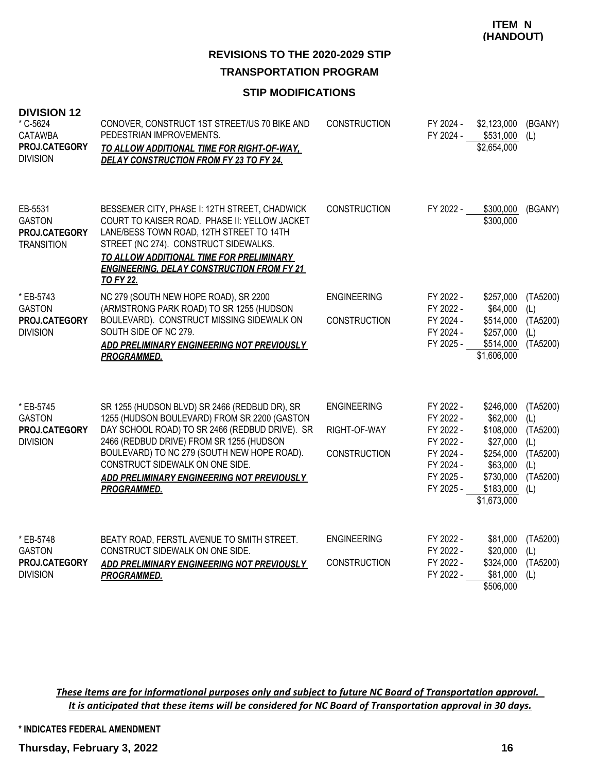**REVISIONS TO THE 2020-2029 STIP TRANSPORTATION PROGRAM**

#### **STIP MODIFICATIONS**

| <b>DIVISION 12</b><br>* C-5624<br><b>CATAWBA</b><br>PROJ.CATEGORY<br><b>DIVISION</b> | CONOVER, CONSTRUCT 1ST STREET/US 70 BIKE AND<br>PEDESTRIAN IMPROVEMENTS.<br><u>TO ALLOW ADDITIONAL TIME FOR RIGHT-OF-WAY.</u><br><b>DELAY CONSTRUCTION FROM FY 23 TO FY 24.</b>                                                                                                                                                                   | <b>CONSTRUCTION</b>                                       | FY 2024 -<br>FY 2024 -                                                                               | \$2,123,000<br>\$531,000<br>\$2,654,000                                                                          | (BGANY)<br>(L)                                                           |
|--------------------------------------------------------------------------------------|---------------------------------------------------------------------------------------------------------------------------------------------------------------------------------------------------------------------------------------------------------------------------------------------------------------------------------------------------|-----------------------------------------------------------|------------------------------------------------------------------------------------------------------|------------------------------------------------------------------------------------------------------------------|--------------------------------------------------------------------------|
| EB-5531<br><b>GASTON</b><br>PROJ.CATEGORY<br><b>TRANSITION</b>                       | BESSEMER CITY, PHASE I: 12TH STREET, CHADWICK<br>COURT TO KAISER ROAD. PHASE II: YELLOW JACKET<br>LANE/BESS TOWN ROAD, 12TH STREET TO 14TH<br>STREET (NC 274). CONSTRUCT SIDEWALKS.<br>TO ALLOW ADDITIONAL TIME FOR PRELIMINARY<br><b>ENGINEERING, DELAY CONSTRUCTION FROM FY 21</b><br><b>TO FY 22.</b>                                          | <b>CONSTRUCTION</b>                                       | FY 2022 -                                                                                            | \$300,000<br>\$300,000                                                                                           | (BGANY)                                                                  |
| * EB-5743<br><b>GASTON</b><br>PROJ.CATEGORY<br><b>DIVISION</b>                       | NC 279 (SOUTH NEW HOPE ROAD), SR 2200<br>(ARMSTRONG PARK ROAD) TO SR 1255 (HUDSON<br>BOULEVARD). CONSTRUCT MISSING SIDEWALK ON<br>SOUTH SIDE OF NC 279.<br>ADD PRELIMINARY ENGINEERING NOT PREVIOUSLY<br><b>PROGRAMMED.</b>                                                                                                                       | <b>ENGINEERING</b><br><b>CONSTRUCTION</b>                 | FY 2022 -<br>FY 2022 -<br>FY 2024 -<br>FY 2024 -<br>FY 2025 -                                        | \$257,000<br>\$64,000<br>\$514,000<br>\$257,000<br>\$514,000<br>\$1,606,000                                      | (TA5200)<br>(L)<br>(TA5200)<br>(L)<br>(TA5200)                           |
| * EB-5745<br><b>GASTON</b><br>PROJ.CATEGORY<br><b>DIVISION</b>                       | SR 1255 (HUDSON BLVD) SR 2466 (REDBUD DR), SR<br>1255 (HUDSON BOULEVARD) FROM SR 2200 (GASTON<br>DAY SCHOOL ROAD) TO SR 2466 (REDBUD DRIVE). SR<br>2466 (REDBUD DRIVE) FROM SR 1255 (HUDSON<br>BOULEVARD) TO NC 279 (SOUTH NEW HOPE ROAD).<br>CONSTRUCT SIDEWALK ON ONE SIDE.<br>ADD PRELIMINARY ENGINEERING NOT PREVIOUSLY<br><b>PROGRAMMED.</b> | <b>ENGINEERING</b><br>RIGHT-OF-WAY<br><b>CONSTRUCTION</b> | FY 2022 -<br>FY 2022 -<br>FY 2022 -<br>FY 2022 -<br>FY 2024 -<br>FY 2024 -<br>FY 2025 -<br>FY 2025 - | \$246,000<br>\$62,000<br>\$108,000<br>\$27,000<br>\$254,000<br>\$63,000<br>\$730,000<br>\$183,000<br>\$1,673,000 | (TA5200)<br>(L)<br>(TA5200)<br>(L)<br>(TA5200)<br>(L)<br>(TA5200)<br>(L) |
| * EB-5748<br><b>GASTON</b><br>PROJ.CATEGORY<br><b>DIVISION</b>                       | BEATY ROAD, FERSTL AVENUE TO SMITH STREET.<br>CONSTRUCT SIDEWALK ON ONE SIDE.<br>ADD PRELIMINARY ENGINEERING NOT PREVIOUSLY<br><b>PROGRAMMED.</b>                                                                                                                                                                                                 | <b>ENGINEERING</b><br><b>CONSTRUCTION</b>                 | FY 2022 -<br>FY 2022 -<br>FY 2022 -<br>FY 2022 -                                                     | \$81,000<br>\$20,000<br>\$324,000<br>\$81,000<br>\$506,000                                                       | (TA5200)<br>(L)<br>(TA5200)<br>(L)                                       |

*These items are for informational purposes only and subject to future NC Board of Transportation approval. It is anticipated that these items will be considered for NC Board of Transportation approval in 30 days.*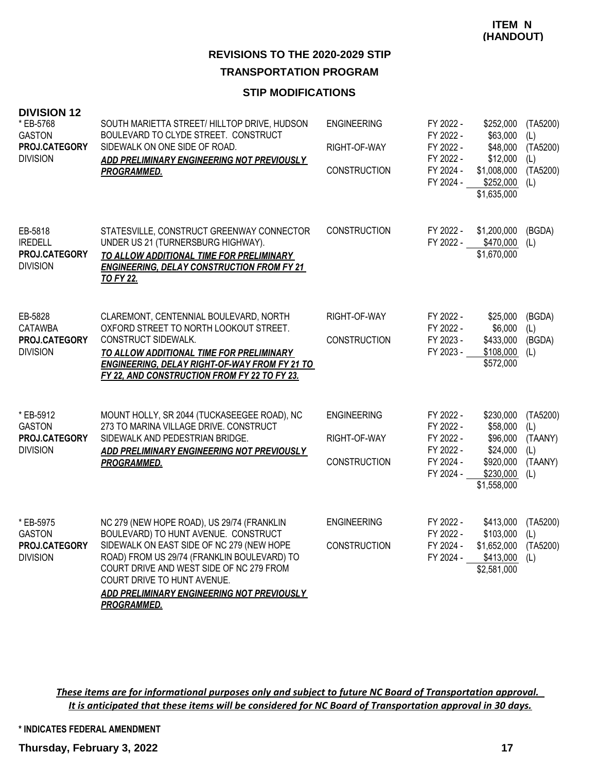#### **STIP MODIFICATIONS**

| <b>DIVISION 12</b><br>* EB-5768<br><b>GASTON</b><br>PROJ.CATEGORY<br><b>DIVISION</b> | SOUTH MARIETTA STREET/ HILLTOP DRIVE, HUDSON<br>BOULEVARD TO CLYDE STREET. CONSTRUCT<br>SIDEWALK ON ONE SIDE OF ROAD.<br>ADD PRELIMINARY ENGINEERING NOT PREVIOUSLY<br><b>PROGRAMMED.</b>                                                                                                                                     | <b>ENGINEERING</b><br>RIGHT-OF-WAY<br><b>CONSTRUCTION</b> | FY 2022 -<br>FY 2022 -<br>FY 2022 -<br>FY 2022 -<br>FY 2024 -<br>FY 2024 - | \$252,000<br>\$63,000<br>\$48,000<br>\$12,000<br>\$1,008,000<br>\$252,000<br>\$1,635,000 | (TA5200)<br>(L)<br>(TA5200)<br>(L)<br>(TA5200)<br>(L) |
|--------------------------------------------------------------------------------------|-------------------------------------------------------------------------------------------------------------------------------------------------------------------------------------------------------------------------------------------------------------------------------------------------------------------------------|-----------------------------------------------------------|----------------------------------------------------------------------------|------------------------------------------------------------------------------------------|-------------------------------------------------------|
| EB-5818<br><b>IREDELL</b><br>PROJ.CATEGORY<br><b>DIVISION</b>                        | STATESVILLE, CONSTRUCT GREENWAY CONNECTOR<br>UNDER US 21 (TURNERSBURG HIGHWAY).<br>TO ALLOW ADDITIONAL TIME FOR PRELIMINARY<br><b>ENGINEERING, DELAY CONSTRUCTION FROM FY 21</b><br><b>TO FY 22.</b>                                                                                                                          | <b>CONSTRUCTION</b>                                       | FY 2022 -<br>FY 2022 -                                                     | \$1,200,000<br>\$470,000<br>\$1,670,000                                                  | (BGDA)<br>(L)                                         |
| EB-5828<br><b>CATAWBA</b><br>PROJ.CATEGORY<br><b>DIVISION</b>                        | CLAREMONT, CENTENNIAL BOULEVARD, NORTH<br>OXFORD STREET TO NORTH LOOKOUT STREET.<br><b>CONSTRUCT SIDEWALK.</b><br>TO ALLOW ADDITIONAL TIME FOR PRELIMINARY<br><b>ENGINEERING, DELAY RIGHT-OF-WAY FROM FY 21 TO</b><br>FY 22, AND CONSTRUCTION FROM FY 22 TO FY 23.                                                            | RIGHT-OF-WAY<br>CONSTRUCTION                              | FY 2022 -<br>FY 2022 -<br>FY 2023 -<br>FY 2023 -                           | \$25,000<br>\$6,000<br>\$433,000<br>\$108,000<br>\$572,000                               | (BGDA)<br>(L)<br>(BGDA)<br>(L)                        |
| * EB-5912<br><b>GASTON</b><br>PROJ.CATEGORY<br><b>DIVISION</b>                       | MOUNT HOLLY, SR 2044 (TUCKASEEGEE ROAD), NC<br>273 TO MARINA VILLAGE DRIVE, CONSTRUCT<br>SIDEWALK AND PEDESTRIAN BRIDGE.<br>ADD PRELIMINARY ENGINEERING NOT PREVIOUSLY<br><b>PROGRAMMED.</b>                                                                                                                                  | <b>ENGINEERING</b><br>RIGHT-OF-WAY<br><b>CONSTRUCTION</b> | FY 2022 -<br>FY 2022 -<br>FY 2022 -<br>FY 2022 -<br>FY 2024 -<br>FY 2024 - | \$230,000<br>\$58,000<br>\$96,000<br>\$24,000<br>\$920,000<br>\$230,000<br>\$1,558,000   | (TA5200)<br>(L)<br>(TAANY)<br>(L)<br>(TAANY)<br>(L)   |
| * EB-5975<br><b>GASTON</b><br>PROJ.CATEGORY<br><b>DIVISION</b>                       | NC 279 (NEW HOPE ROAD), US 29/74 (FRANKLIN<br>BOULEVARD) TO HUNT AVENUE. CONSTRUCT<br>SIDEWALK ON EAST SIDE OF NC 279 (NEW HOPE<br>ROAD) FROM US 29/74 (FRANKLIN BOULEVARD) TO<br>COURT DRIVE AND WEST SIDE OF NC 279 FROM<br>COURT DRIVE TO HUNT AVENUE.<br>ADD PRELIMINARY ENGINEERING NOT PREVIOUSLY<br><b>PROGRAMMED.</b> | <b>ENGINEERING</b><br><b>CONSTRUCTION</b>                 | FY 2022 -<br>FY 2022 -<br>FY 2024 -<br>FY 2024 -                           | \$413,000<br>\$103,000<br>\$1,652,000<br>\$413,000<br>\$2,581,000                        | (TA5200)<br>(L)<br>(TA5200)<br>(L)                    |

*These items are for informational purposes only and subject to future NC Board of Transportation approval. It is anticipated that these items will be considered for NC Board of Transportation approval in 30 days.*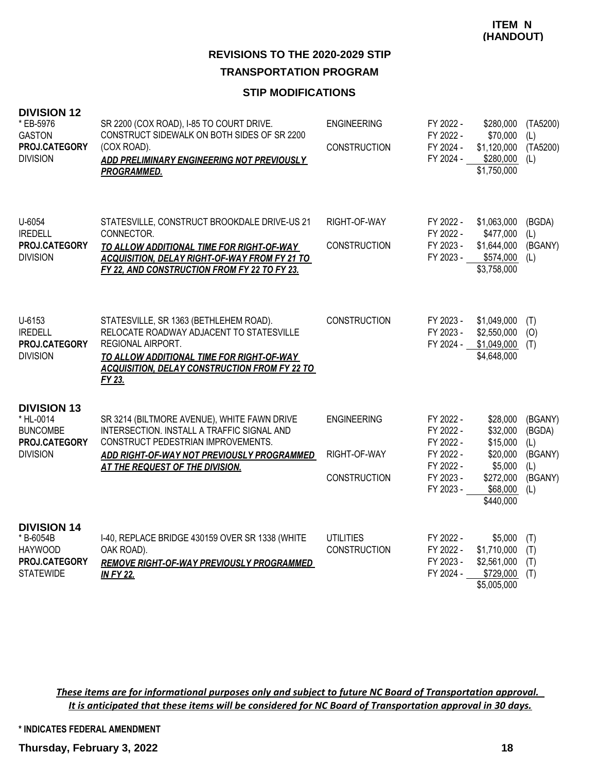#### **STIP MODIFICATIONS**

| <b>DIVISION 12</b><br>* EB-5976<br><b>GASTON</b><br>PROJ.CATEGORY<br><b>DIVISION</b>   | SR 2200 (COX ROAD), I-85 TO COURT DRIVE.<br>CONSTRUCT SIDEWALK ON BOTH SIDES OF SR 2200<br>(COX ROAD).<br>ADD PRELIMINARY ENGINEERING NOT PREVIOUSLY<br><b>PROGRAMMED.</b>                                                    | <b>ENGINEERING</b><br><b>CONSTRUCTION</b>                 | FY 2022 -<br>FY 2022 -<br>FY 2024 -<br>FY 2024 -                                        | \$280,000<br>\$70,000<br>\$1,120,000<br>\$280,000<br>\$1,750,000                              | (TA5200)<br>(L)<br>(TA5200)<br>(L)                           |
|----------------------------------------------------------------------------------------|-------------------------------------------------------------------------------------------------------------------------------------------------------------------------------------------------------------------------------|-----------------------------------------------------------|-----------------------------------------------------------------------------------------|-----------------------------------------------------------------------------------------------|--------------------------------------------------------------|
| U-6054<br><b>IREDELL</b><br>PROJ.CATEGORY<br><b>DIVISION</b>                           | STATESVILLE, CONSTRUCT BROOKDALE DRIVE-US 21<br>CONNECTOR.<br>TO ALLOW ADDITIONAL TIME FOR RIGHT-OF-WAY<br><b>ACQUISITION, DELAY RIGHT-OF-WAY FROM FY 21 TO</b><br>FY 22, AND CONSTRUCTION FROM FY 22 TO FY 23.               | RIGHT-OF-WAY<br><b>CONSTRUCTION</b>                       | FY 2022 -<br>FY 2022 -<br>FY 2023 -<br>FY 2023 -                                        | \$1,063,000<br>\$477,000<br>\$1,644,000<br>\$574,000<br>\$3,758,000                           | (BGDA)<br>(L)<br>(BGANY)<br>(L)                              |
| U-6153<br><b>IREDELL</b><br>PROJ.CATEGORY<br><b>DIVISION</b>                           | STATESVILLE, SR 1363 (BETHLEHEM ROAD).<br>RELOCATE ROADWAY ADJACENT TO STATESVILLE<br><b>REGIONAL AIRPORT.</b><br>TO ALLOW ADDITIONAL TIME FOR RIGHT-OF-WAY<br><b>ACQUISITION, DELAY CONSTRUCTION FROM FY 22 TO</b><br>FY 23. | <b>CONSTRUCTION</b>                                       | FY 2023 -<br>FY 2023 -<br>FY 2024 -                                                     | \$1,049,000<br>\$2,550,000<br>\$1,049,000<br>\$4,648,000                                      | (T)<br>(O)<br>(T)                                            |
| <b>DIVISION 13</b><br>* HL-0014<br><b>BUNCOMBE</b><br>PROJ.CATEGORY<br><b>DIVISION</b> | SR 3214 (BILTMORE AVENUE), WHITE FAWN DRIVE<br>INTERSECTION. INSTALL A TRAFFIC SIGNAL AND<br>CONSTRUCT PEDESTRIAN IMPROVEMENTS.<br>ADD RIGHT-OF-WAY NOT PREVIOUSLY PROGRAMMED<br>AT THE REQUEST OF THE DIVISION.              | <b>ENGINEERING</b><br>RIGHT-OF-WAY<br><b>CONSTRUCTION</b> | FY 2022 -<br>FY 2022 -<br>FY 2022 -<br>FY 2022 -<br>FY 2022 -<br>FY 2023 -<br>FY 2023 - | \$28,000<br>\$32,000<br>\$15,000<br>\$20,000<br>\$5,000<br>\$272,000<br>\$68,000<br>\$440,000 | (BGANY)<br>(BGDA)<br>(L)<br>(BGANY)<br>(L)<br>(BGANY)<br>(L) |
| <b>DIVISION 14</b><br>* B-6054B<br><b>HAYWOOD</b><br>PROJ.CATEGORY<br><b>STATEWIDE</b> | I-40, REPLACE BRIDGE 430159 OVER SR 1338 (WHITE<br>OAK ROAD).<br><b>REMOVE RIGHT-OF-WAY PREVIOUSLY PROGRAMMED</b><br><b>IN FY 22.</b>                                                                                         | <b>UTILITIES</b><br><b>CONSTRUCTION</b>                   | FY 2022 -<br>FY 2022 -<br>FY 2023 -<br>FY 2024 -                                        | \$5,000<br>\$1,710,000<br>\$2,561,000<br>\$729,000<br>\$5,005,000                             | (T)<br>(T)<br>(T)<br>(T)                                     |

*These items are for informational purposes only and subject to future NC Board of Transportation approval. It is anticipated that these items will be considered for NC Board of Transportation approval in 30 days.*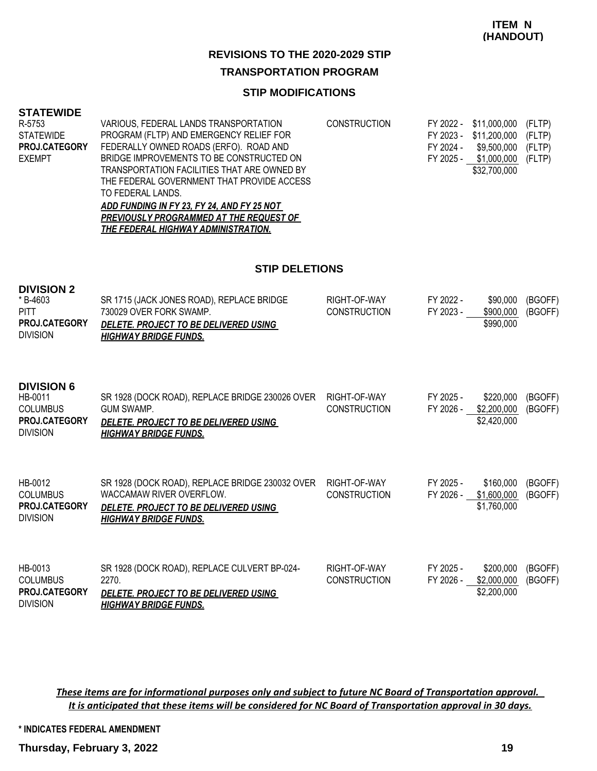# **REVISIONS TO THE 2020-2029 STIP**

## **TRANSPORTATION PROGRAM**

#### **STIP MODIFICATIONS**

#### **STATEWIDE**

**DIVISION 2**

| R-5753               | VARIOUS, FEDERAL LANDS TRANSPORTATION       | <b>CONSTRUCTION</b> | FY 2022 - \$11,000,000 (FLTP) |  |
|----------------------|---------------------------------------------|---------------------|-------------------------------|--|
| STATEWIDE            | PROGRAM (FLTP) AND EMERGENCY RELIEF FOR     |                     | FY 2023 - \$11,200,000 (FLTP) |  |
| <b>PROJ.CATEGORY</b> | FEDERALLY OWNED ROADS (ERFO). ROAD AND      |                     | FY 2024 - \$9,500,000 (FLTP)  |  |
| <b>EXEMPT</b>        | BRIDGE IMPROVEMENTS TO BE CONSTRUCTED ON    |                     | FY 2025 - \$1,000,000 (FLTP)  |  |
|                      | TRANSPORTATION FACILITIES THAT ARE OWNED BY |                     | \$32,700,000                  |  |
|                      | THE FEDERAL GOVERNMENT THAT PROVIDE ACCESS  |                     |                               |  |
|                      | TO FEDERAL LANDS.                           |                     |                               |  |
|                      | ADD FUNDING IN FY 23, FY 24, AND FY 25 NOT  |                     |                               |  |

*PREVIOUSLY PROGRAMMED AT THE REQUEST OF THE FEDERAL HIGHWAY ADMINISTRATION.*

#### **STIP DELETIONS**

| DIVIƏIUN Z<br>* B-4603<br><b>PITT</b><br><b>PROJ.CATEGORY</b><br><b>DIVISION</b>           | SR 1715 (JACK JONES ROAD), REPLACE BRIDGE<br>730029 OVER FORK SWAMP.<br>DELETE. PROJECT TO BE DELIVERED USING<br><b>HIGHWAY BRIDGE FUNDS.</b>        | RIGHT-OF-WAY<br><b>CONSTRUCTION</b> | FY 2022 -<br>FY 2023 - | \$90,000<br>\$900,000<br>\$990,000      | (BGOFF)<br>(BGOFF) |
|--------------------------------------------------------------------------------------------|------------------------------------------------------------------------------------------------------------------------------------------------------|-------------------------------------|------------------------|-----------------------------------------|--------------------|
| <b>DIVISION 6</b><br>HB-0011<br><b>COLUMBUS</b><br><b>PROJ.CATEGORY</b><br><b>DIVISION</b> | SR 1928 (DOCK ROAD), REPLACE BRIDGE 230026 OVER<br><b>GUM SWAMP.</b><br><i>DELETE. PROJECT TO BE DELIVERED USING</i><br><b>HIGHWAY BRIDGE FUNDS.</b> | RIGHT-OF-WAY<br><b>CONSTRUCTION</b> | FY 2025 -<br>FY 2026 - | \$220,000<br>\$2,200,000<br>\$2,420,000 | (BGOFF)<br>(BGOFF) |
| HB-0012<br><b>COLUMBUS</b><br>PROJ.CATEGORY<br><b>DIVISION</b>                             | SR 1928 (DOCK ROAD), REPLACE BRIDGE 230032 OVER<br>WACCAMAW RIVER OVERFLOW.<br>DELETE. PROJECT TO BE DELIVERED USING<br><b>HIGHWAY BRIDGE FUNDS.</b> | RIGHT-OF-WAY<br><b>CONSTRUCTION</b> | FY 2025 -<br>FY 2026 - | \$160,000<br>\$1,600,000<br>\$1,760,000 | (BGOFF)<br>(BGOFF) |
| HB-0013<br><b>COLUMBUS</b><br><b>PROJ.CATEGORY</b><br><b>DIVISION</b>                      | SR 1928 (DOCK ROAD), REPLACE CULVERT BP-024-<br>2270.<br>DELETE. PROJECT TO BE DELIVERED USING<br><b>HIGHWAY BRIDGE FUNDS.</b>                       | RIGHT-OF-WAY<br><b>CONSTRUCTION</b> | FY 2025 -<br>FY 2026 - | \$200,000<br>\$2,000,000<br>\$2,200,000 | (BGOFF)<br>(BGOFF) |

*These items are for informational purposes only and subject to future NC Board of Transportation approval. It is anticipated that these items will be considered for NC Board of Transportation approval in 30 days.*